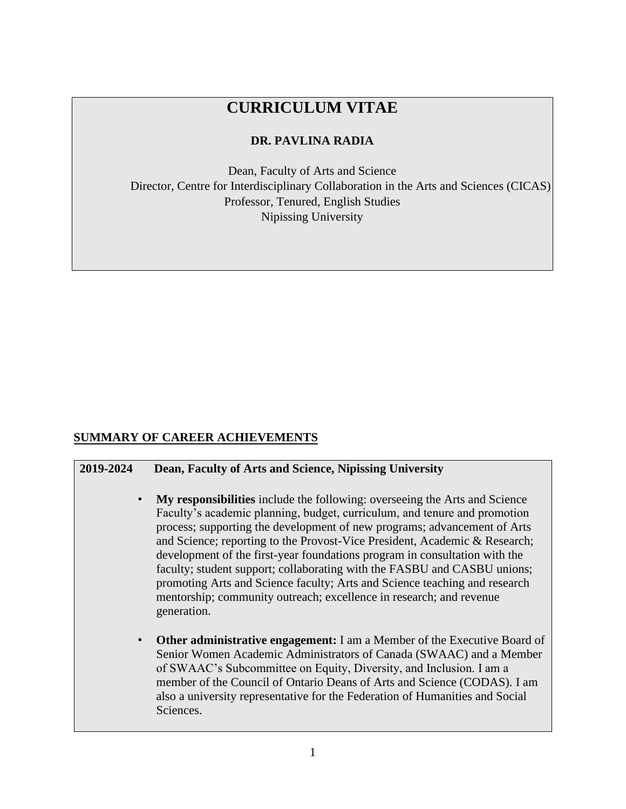# **CURRICULUM VITAE**

### **DR. PAVLINA RADIA**

Dean, Faculty of Arts and Science Director, Centre for Interdisciplinary Collaboration in the Arts and Sciences (CICAS) Professor, Tenured, English Studies Nipissing University

### **SUMMARY OF CAREER ACHIEVEMENTS**

#### **2019-2024 Dean, Faculty of Arts and Science, Nipissing University**

- **My responsibilities** include the following: overseeing the Arts and Science Faculty's academic planning, budget, curriculum, and tenure and promotion process; supporting the development of new programs; advancement of Arts and Science; reporting to the Provost-Vice President, Academic & Research; development of the first-year foundations program in consultation with the faculty; student support; collaborating with the FASBU and CASBU unions; promoting Arts and Science faculty; Arts and Science teaching and research mentorship; community outreach; excellence in research; and revenue generation.
- **Other administrative engagement:** I am a Member of the Executive Board of Senior Women Academic Administrators of Canada (SWAAC) and a Member of SWAAC's Subcommittee on Equity, Diversity, and Inclusion. I am a member of the Council of Ontario Deans of Arts and Science (CODAS). I am also a university representative for the Federation of Humanities and Social Sciences.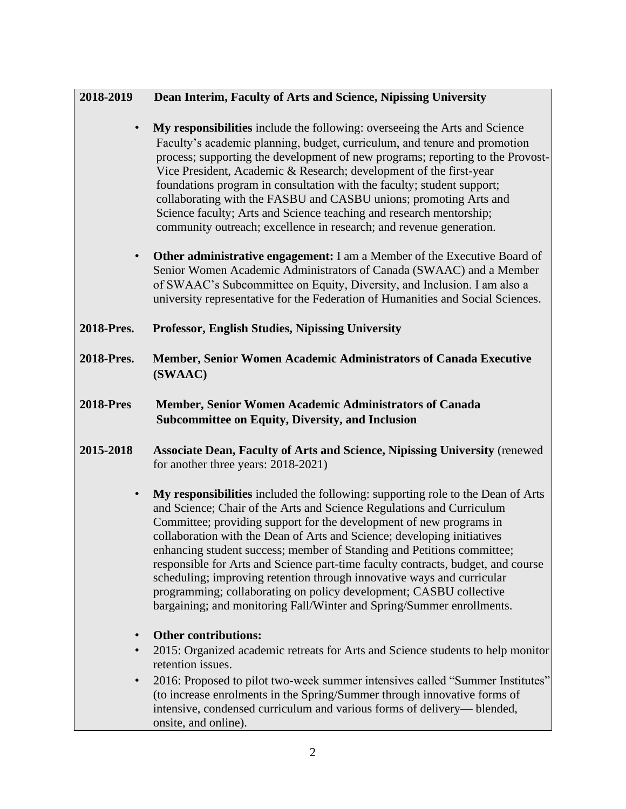## **2018-2019 Dean Interim, Faculty of Arts and Science, Nipissing University**

- **My responsibilities** include the following: overseeing the Arts and Science Faculty's academic planning, budget, curriculum, and tenure and promotion process; supporting the development of new programs; reporting to the Provost-Vice President, Academic & Research; development of the first-year foundations program in consultation with the faculty; student support; collaborating with the FASBU and CASBU unions; promoting Arts and Science faculty; Arts and Science teaching and research mentorship; community outreach; excellence in research; and revenue generation.
- **Other administrative engagement:** I am a Member of the Executive Board of Senior Women Academic Administrators of Canada (SWAAC) and a Member of SWAAC's Subcommittee on Equity, Diversity, and Inclusion. I am also a university representative for the Federation of Humanities and Social Sciences.
- **2018-Pres. Professor, English Studies, Nipissing University**
- **2018-Pres. Member, Senior Women Academic Administrators of Canada Executive (SWAAC)**
- **2018-Pres Member, Senior Women Academic Administrators of Canada Subcommittee on Equity, Diversity, and Inclusion**
- **2015-2018 Associate Dean, Faculty of Arts and Science, Nipissing University** (renewed for another three years: 2018-2021)
	- **My responsibilities** included the following: supporting role to the Dean of Arts and Science; Chair of the Arts and Science Regulations and Curriculum Committee; providing support for the development of new programs in collaboration with the Dean of Arts and Science; developing initiatives enhancing student success; member of Standing and Petitions committee; responsible for Arts and Science part-time faculty contracts, budget, and course scheduling; improving retention through innovative ways and curricular programming; collaborating on policy development; CASBU collective bargaining; and monitoring Fall/Winter and Spring/Summer enrollments.
	- **Other contributions:**
	- 2015: Organized academic retreats for Arts and Science students to help monitor retention issues.
	- 2016: Proposed to pilot two-week summer intensives called "Summer Institutes" (to increase enrolments in the Spring/Summer through innovative forms of intensive, condensed curriculum and various forms of delivery— blended, onsite, and online).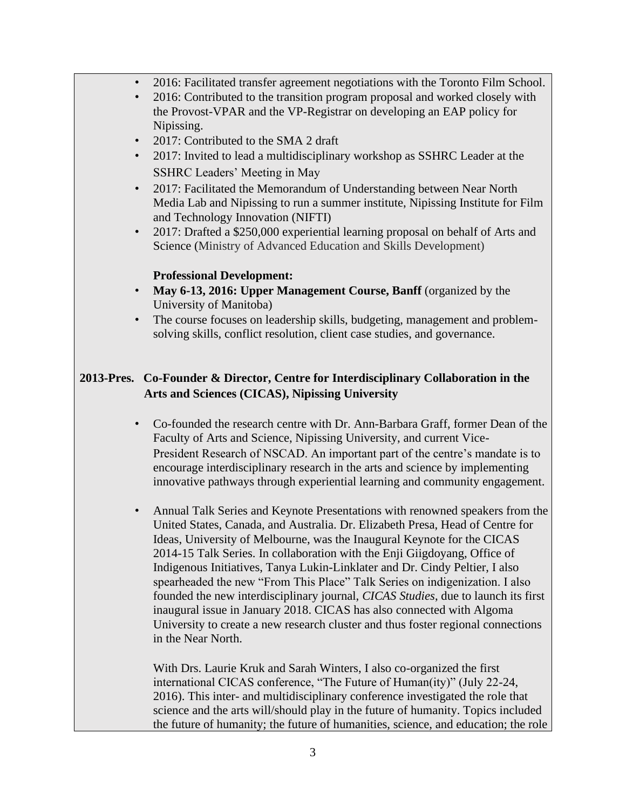- 2016: Facilitated transfer agreement negotiations with the Toronto Film School.
- 2016: Contributed to the transition program proposal and worked closely with the Provost-VPAR and the VP-Registrar on developing an EAP policy for Nipissing.
- 2017: Contributed to the SMA 2 draft
- 2017: Invited to lead a multidisciplinary workshop as SSHRC Leader at the SSHRC Leaders' Meeting in May
- 2017: Facilitated the Memorandum of Understanding between Near North Media Lab and Nipissing to run a summer institute, Nipissing Institute for Film and Technology Innovation (NIFTI)
- 2017: Drafted a \$250,000 experiential learning proposal on behalf of Arts and Science (Ministry of Advanced Education and Skills Development)

#### **Professional Development:**

- **May 6-13, 2016: Upper Management Course, Banff** (organized by the University of Manitoba)
- The course focuses on leadership skills, budgeting, management and problemsolving skills, conflict resolution, client case studies, and governance.

### **2013-Pres. Co-Founder & Director, Centre for Interdisciplinary Collaboration in the Arts and Sciences (CICAS), Nipissing University**

- Co-founded the research centre with Dr. Ann-Barbara Graff, former Dean of the Faculty of Arts and Science, Nipissing University, and current Vice-President Research of NSCAD. An important part of the centre's mandate is to encourage interdisciplinary research in the arts and science by implementing innovative pathways through experiential learning and community engagement.
- Annual Talk Series and Keynote Presentations with renowned speakers from the United States, Canada, and Australia. Dr. Elizabeth Presa, Head of Centre for Ideas, University of Melbourne, was the Inaugural Keynote for the CICAS 2014-15 Talk Series. In collaboration with the Enji Giigdoyang, Office of Indigenous Initiatives, Tanya Lukin-Linklater and Dr. Cindy Peltier, I also spearheaded the new "From This Place" Talk Series on indigenization. I also founded the new interdisciplinary journal, *CICAS Studies*, due to launch its first inaugural issue in January 2018. CICAS has also connected with Algoma University to create a new research cluster and thus foster regional connections in the Near North.

With Drs. Laurie Kruk and Sarah Winters, I also co-organized the first international CICAS conference, "The Future of Human(ity)" (July 22-24, 2016). This inter- and multidisciplinary conference investigated the role that science and the arts will/should play in the future of humanity. Topics included the future of humanity; the future of humanities, science, and education; the role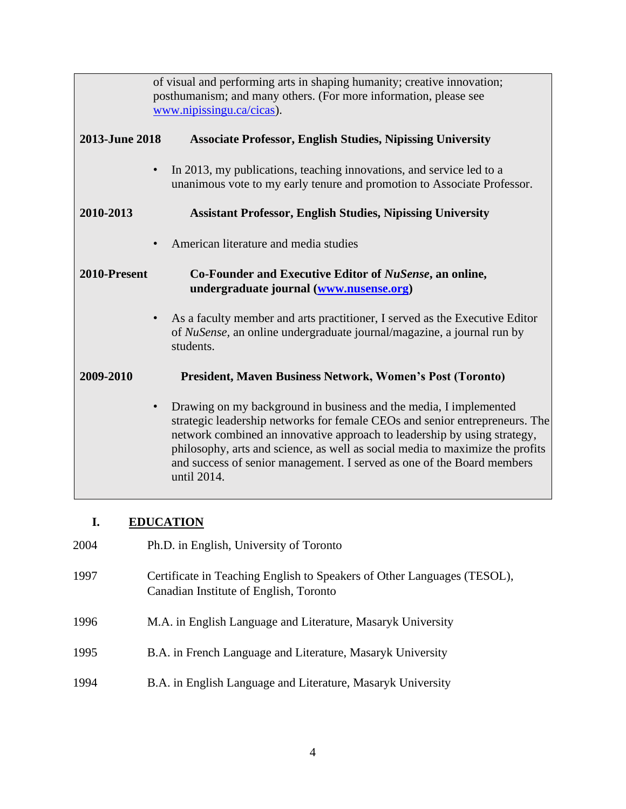|                | of visual and performing arts in shaping humanity; creative innovation;<br>posthumanism; and many others. (For more information, please see<br>www.nipissingu.ca/cicas).                                                                                                                                                                                                                                            |
|----------------|---------------------------------------------------------------------------------------------------------------------------------------------------------------------------------------------------------------------------------------------------------------------------------------------------------------------------------------------------------------------------------------------------------------------|
| 2013-June 2018 | <b>Associate Professor, English Studies, Nipissing University</b>                                                                                                                                                                                                                                                                                                                                                   |
|                | In 2013, my publications, teaching innovations, and service led to a<br>$\bullet$<br>unanimous vote to my early tenure and promotion to Associate Professor.                                                                                                                                                                                                                                                        |
| 2010-2013      | <b>Assistant Professor, English Studies, Nipissing University</b>                                                                                                                                                                                                                                                                                                                                                   |
|                | American literature and media studies<br>$\bullet$                                                                                                                                                                                                                                                                                                                                                                  |
| 2010-Present   | Co-Founder and Executive Editor of NuSense, an online,<br>undergraduate journal (www.nusense.org)                                                                                                                                                                                                                                                                                                                   |
|                | As a faculty member and arts practitioner, I served as the Executive Editor<br>of <i>NuSense</i> , an online undergraduate journal/magazine, a journal run by<br>students.                                                                                                                                                                                                                                          |
| 2009-2010      | <b>President, Maven Business Network, Women's Post (Toronto)</b>                                                                                                                                                                                                                                                                                                                                                    |
|                | Drawing on my background in business and the media, I implemented<br>$\bullet$<br>strategic leadership networks for female CEOs and senior entrepreneurs. The<br>network combined an innovative approach to leadership by using strategy,<br>philosophy, arts and science, as well as social media to maximize the profits<br>and success of senior management. I served as one of the Board members<br>until 2014. |

# **I. EDUCATION**

| 2004 | Ph.D. in English, University of Toronto                                                                           |
|------|-------------------------------------------------------------------------------------------------------------------|
| 1997 | Certificate in Teaching English to Speakers of Other Languages (TESOL),<br>Canadian Institute of English, Toronto |
| 1996 | M.A. in English Language and Literature, Masaryk University                                                       |
| 1995 | B.A. in French Language and Literature, Masaryk University                                                        |
| 1994 | B.A. in English Language and Literature, Masaryk University                                                       |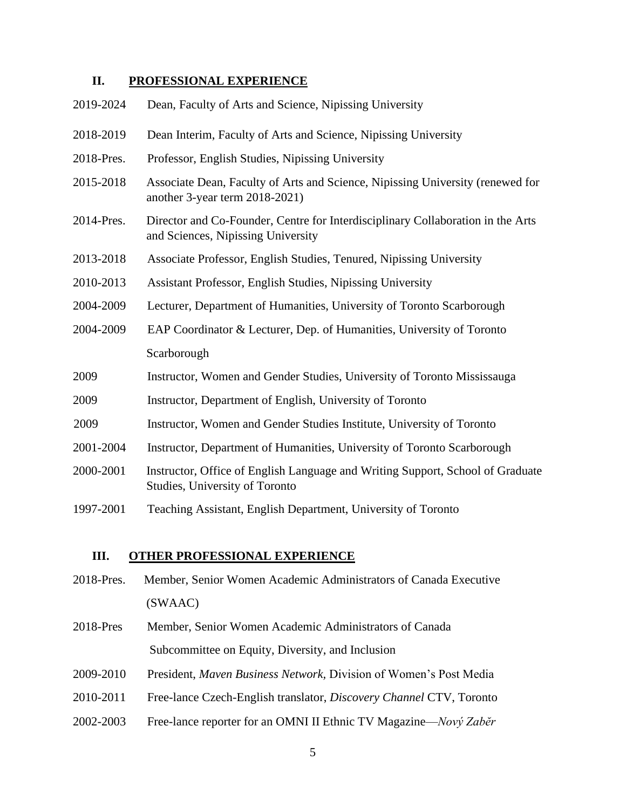#### **II. PROFESSIONAL EXPERIENCE**

| 2019-2024  | Dean, Faculty of Arts and Science, Nipissing University                                                               |
|------------|-----------------------------------------------------------------------------------------------------------------------|
| 2018-2019  | Dean Interim, Faculty of Arts and Science, Nipissing University                                                       |
| 2018-Pres. | Professor, English Studies, Nipissing University                                                                      |
| 2015-2018  | Associate Dean, Faculty of Arts and Science, Nipissing University (renewed for<br>another 3-year term 2018-2021)      |
| 2014-Pres. | Director and Co-Founder, Centre for Interdisciplinary Collaboration in the Arts<br>and Sciences, Nipissing University |
| 2013-2018  | Associate Professor, English Studies, Tenured, Nipissing University                                                   |
| 2010-2013  | Assistant Professor, English Studies, Nipissing University                                                            |
| 2004-2009  | Lecturer, Department of Humanities, University of Toronto Scarborough                                                 |
| 2004-2009  | EAP Coordinator & Lecturer, Dep. of Humanities, University of Toronto                                                 |
|            | Scarborough                                                                                                           |
| 2009       | Instructor, Women and Gender Studies, University of Toronto Mississauga                                               |
| 2009       | Instructor, Department of English, University of Toronto                                                              |
| 2009       | Instructor, Women and Gender Studies Institute, University of Toronto                                                 |
| 2001-2004  | Instructor, Department of Humanities, University of Toronto Scarborough                                               |
| 2000-2001  | Instructor, Office of English Language and Writing Support, School of Graduate<br>Studies, University of Toronto      |

1997-2001 Teaching Assistant, English Department, University of Toronto

#### **III. OTHER PROFESSIONAL EXPERIENCE**

- 2018-Pres. Member, Senior Women Academic Administrators of Canada Executive (SWAAC)
- 2018-Pres Member, Senior Women Academic Administrators of Canada Subcommittee on Equity, Diversity, and Inclusion
- 2009-2010 President, *Maven Business Network,* Division of Women's Post Media
- 2010-2011 Free-lance Czech-English translator, *Discovery Channel* CTV, Toronto
- 2002-2003 Free-lance reporter for an OMNI II Ethnic TV Magazine—*Nový Zabĕr*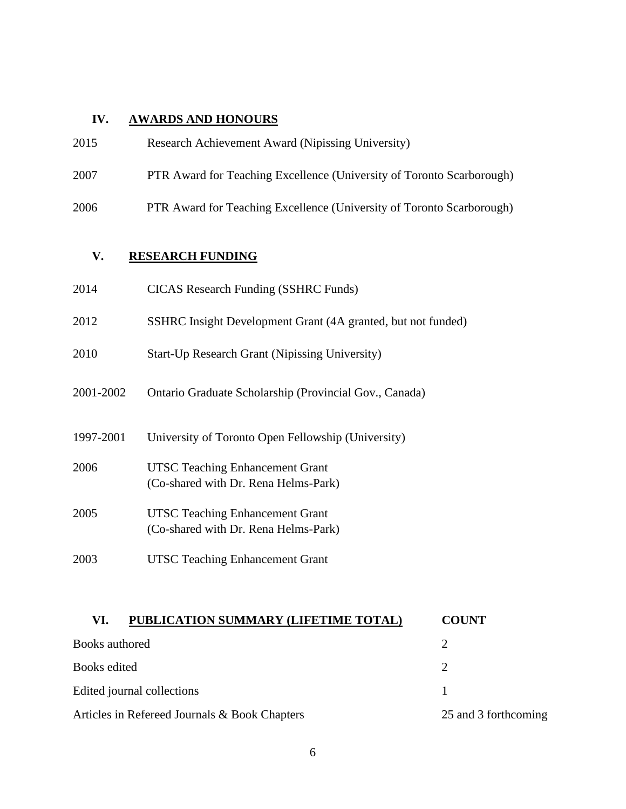# **IV. AWARDS AND HONOURS**

| 2015      | Research Achievement Award (Nipissing University)                              |
|-----------|--------------------------------------------------------------------------------|
| 2007      | PTR Award for Teaching Excellence (University of Toronto Scarborough)          |
| 2006      | PTR Award for Teaching Excellence (University of Toronto Scarborough)          |
| V.        | <b>RESEARCH FUNDING</b>                                                        |
| 2014      | <b>CICAS</b> Research Funding (SSHRC Funds)                                    |
| 2012      | SSHRC Insight Development Grant (4A granted, but not funded)                   |
| 2010      | Start-Up Research Grant (Nipissing University)                                 |
| 2001-2002 | Ontario Graduate Scholarship (Provincial Gov., Canada)                         |
| 1997-2001 | University of Toronto Open Fellowship (University)                             |
| 2006      | <b>UTSC Teaching Enhancement Grant</b><br>(Co-shared with Dr. Rena Helms-Park) |
| 2005      | <b>UTSC Teaching Enhancement Grant</b><br>(Co-shared with Dr. Rena Helms-Park) |
| 2003      | <b>UTSC Teaching Enhancement Grant</b>                                         |

| PUBLICATION SUMMARY (LIFETIME TOTAL)<br>VI.   | <b>COUNT</b>         |
|-----------------------------------------------|----------------------|
| Books authored                                |                      |
| Books edited                                  |                      |
| Edited journal collections                    |                      |
| Articles in Refereed Journals & Book Chapters | 25 and 3 forthcoming |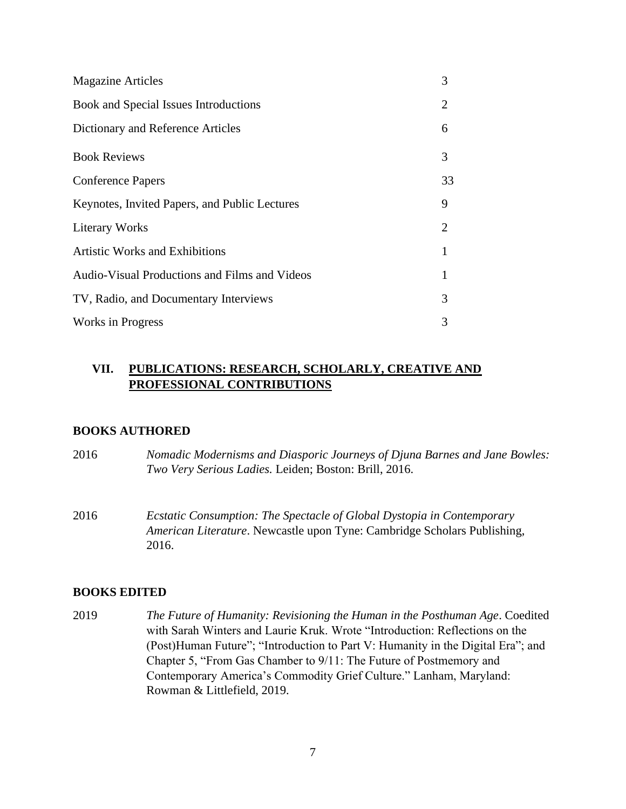| <b>Magazine Articles</b>                      | 3              |
|-----------------------------------------------|----------------|
| Book and Special Issues Introductions         | $\overline{2}$ |
| Dictionary and Reference Articles             | 6              |
| <b>Book Reviews</b>                           | 3              |
| <b>Conference Papers</b>                      | 33             |
| Keynotes, Invited Papers, and Public Lectures | 9              |
| <b>Literary Works</b>                         | $\overline{2}$ |
| <b>Artistic Works and Exhibitions</b>         | 1              |
| Audio-Visual Productions and Films and Videos | 1              |
| TV, Radio, and Documentary Interviews         | 3              |
| <b>Works in Progress</b>                      | 3              |

# **VII. PUBLICATIONS: RESEARCH, SCHOLARLY, CREATIVE AND PROFESSIONAL CONTRIBUTIONS**

#### **BOOKS AUTHORED**

| 2016 | Nomadic Modernisms and Diasporic Journeys of Djuna Barnes and Jane Bowles: |
|------|----------------------------------------------------------------------------|
|      | Two Very Serious Ladies. Leiden; Boston: Brill, 2016.                      |

2016 *Ecstatic Consumption: The Spectacle of Global Dystopia in Contemporary American Literature*. Newcastle upon Tyne: Cambridge Scholars Publishing, 2016.

#### **BOOKS EDITED**

2019 *The Future of Humanity: Revisioning the Human in the Posthuman Age*. Coedited with Sarah Winters and Laurie Kruk. Wrote "Introduction: Reflections on the (Post)Human Future"; "Introduction to Part V: Humanity in the Digital Era"; and Chapter 5, "From Gas Chamber to 9/11: The Future of Postmemory and Contemporary America's Commodity Grief Culture." Lanham, Maryland: Rowman & Littlefield, 2019.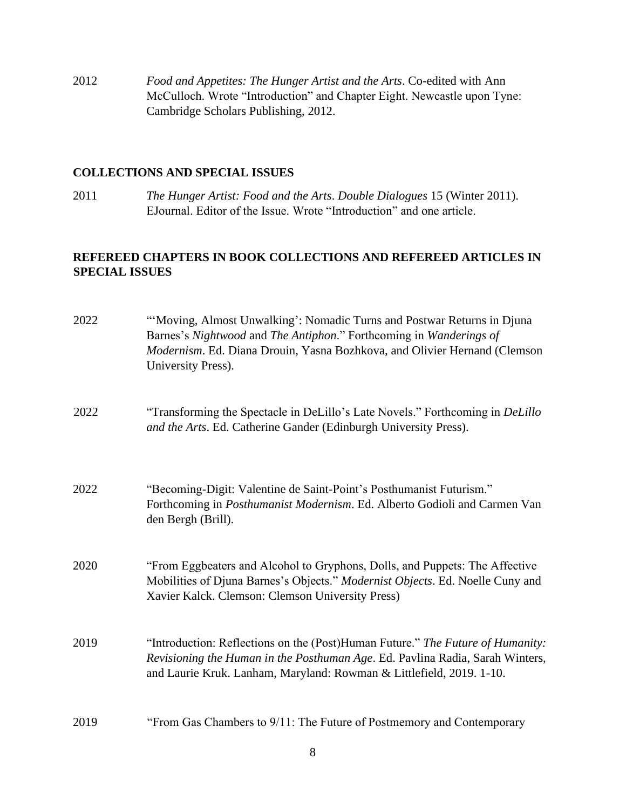2012 *Food and Appetites: The Hunger Artist and the Arts*. Co-edited with Ann McCulloch. Wrote "Introduction" and Chapter Eight. Newcastle upon Tyne: Cambridge Scholars Publishing, 2012.

#### **COLLECTIONS AND SPECIAL ISSUES**

2011 *The Hunger Artist: Food and the Arts*. *Double Dialogues* 15 (Winter 2011). EJournal. Editor of the Issue. Wrote "Introduction" and one article.

### **REFEREED CHAPTERS IN BOOK COLLECTIONS AND REFEREED ARTICLES IN SPECIAL ISSUES**

| 2022 | "Moving, Almost Unwalking': Nomadic Turns and Postwar Returns in Djuna<br>Barnes's Nightwood and The Antiphon." Forthcoming in Wanderings of<br>Modernism. Ed. Diana Drouin, Yasna Bozhkova, and Olivier Hernand (Clemson<br>University Press). |
|------|-------------------------------------------------------------------------------------------------------------------------------------------------------------------------------------------------------------------------------------------------|
| 2022 | "Transforming the Spectacle in DeLillo's Late Novels." Forthcoming in DeLillo<br>and the Arts. Ed. Catherine Gander (Edinburgh University Press).                                                                                               |
| 2022 | "Becoming-Digit: Valentine de Saint-Point's Posthumanist Futurism."<br>Forthcoming in <i>Posthumanist Modernism</i> . Ed. Alberto Godioli and Carmen Van<br>den Bergh (Brill).                                                                  |
| 2020 | "From Eggbeaters and Alcohol to Gryphons, Dolls, and Puppets: The Affective<br>Mobilities of Djuna Barnes's Objects." Modernist Objects. Ed. Noelle Cuny and<br>Xavier Kalck. Clemson: Clemson University Press)                                |
| 2019 | "Introduction: Reflections on the (Post)Human Future." The Future of Humanity:<br>Revisioning the Human in the Posthuman Age. Ed. Pavlina Radia, Sarah Winters,<br>and Laurie Kruk. Lanham, Maryland: Rowman & Littlefield, 2019. 1-10.         |
| 2019 | "From Gas Chambers to 9/11: The Future of Postmemory and Contemporary                                                                                                                                                                           |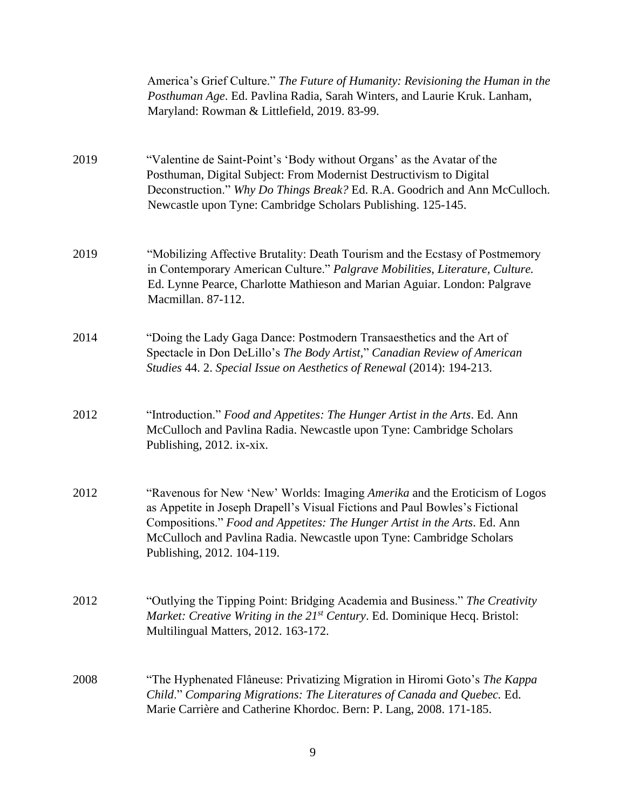|      | America's Grief Culture." The Future of Humanity: Revisioning the Human in the<br>Posthuman Age. Ed. Pavlina Radia, Sarah Winters, and Laurie Kruk. Lanham,<br>Maryland: Rowman & Littlefield, 2019. 83-99.                                                                                                                                  |
|------|----------------------------------------------------------------------------------------------------------------------------------------------------------------------------------------------------------------------------------------------------------------------------------------------------------------------------------------------|
| 2019 | "Valentine de Saint-Point's 'Body without Organs' as the Avatar of the<br>Posthuman, Digital Subject: From Modernist Destructivism to Digital<br>Deconstruction." Why Do Things Break? Ed. R.A. Goodrich and Ann McCulloch.<br>Newcastle upon Tyne: Cambridge Scholars Publishing. 125-145.                                                  |
| 2019 | "Mobilizing Affective Brutality: Death Tourism and the Ecstasy of Postmemory<br>in Contemporary American Culture." Palgrave Mobilities, Literature, Culture.<br>Ed. Lynne Pearce, Charlotte Mathieson and Marian Aguiar. London: Palgrave<br>Macmillan. 87-112.                                                                              |
| 2014 | "Doing the Lady Gaga Dance: Postmodern Transaesthetics and the Art of<br>Spectacle in Don DeLillo's The Body Artist," Canadian Review of American<br>Studies 44. 2. Special Issue on Aesthetics of Renewal (2014): 194-213.                                                                                                                  |
| 2012 | "Introduction." Food and Appetites: The Hunger Artist in the Arts. Ed. Ann<br>McCulloch and Pavlina Radia. Newcastle upon Tyne: Cambridge Scholars<br>Publishing, 2012. ix-xix.                                                                                                                                                              |
| 2012 | "Ravenous for New 'New' Worlds: Imaging Amerika and the Eroticism of Logos<br>as Appetite in Joseph Drapell's Visual Fictions and Paul Bowles's Fictional<br>Compositions." Food and Appetites: The Hunger Artist in the Arts. Ed. Ann<br>McCulloch and Pavlina Radia. Newcastle upon Tyne: Cambridge Scholars<br>Publishing, 2012. 104-119. |
| 2012 | "Outlying the Tipping Point: Bridging Academia and Business." The Creativity<br>Market: Creative Writing in the 21 <sup>st</sup> Century. Ed. Dominique Hecq. Bristol:<br>Multilingual Matters, 2012. 163-172.                                                                                                                               |
| 2008 | "The Hyphenated Flâneuse: Privatizing Migration in Hiromi Goto's The Kappa<br>Child." Comparing Migrations: The Literatures of Canada and Quebec. Ed.<br>Marie Carrière and Catherine Khordoc. Bern: P. Lang, 2008. 171-185.                                                                                                                 |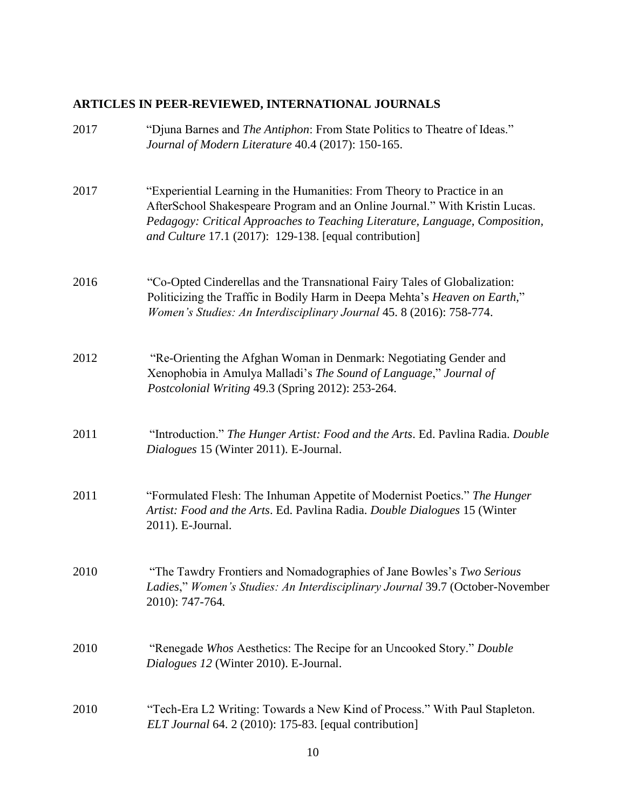# **ARTICLES IN PEER-REVIEWED, INTERNATIONAL JOURNALS**

| 2017 | "Djuna Barnes and <i>The Antiphon</i> : From State Politics to Theatre of Ideas."<br>Journal of Modern Literature 40.4 (2017): 150-165.                                                                                                                                                          |
|------|--------------------------------------------------------------------------------------------------------------------------------------------------------------------------------------------------------------------------------------------------------------------------------------------------|
| 2017 | "Experiential Learning in the Humanities: From Theory to Practice in an<br>AfterSchool Shakespeare Program and an Online Journal." With Kristin Lucas.<br>Pedagogy: Critical Approaches to Teaching Literature, Language, Composition,<br>and Culture 17.1 (2017): 129-138. [equal contribution] |
| 2016 | "Co-Opted Cinderellas and the Transnational Fairy Tales of Globalization:<br>Politicizing the Traffic in Bodily Harm in Deepa Mehta's Heaven on Earth,"<br>Women's Studies: An Interdisciplinary Journal 45. 8 (2016): 758-774.                                                                  |
| 2012 | "Re-Orienting the Afghan Woman in Denmark: Negotiating Gender and<br>Xenophobia in Amulya Malladi's The Sound of Language," Journal of<br>Postcolonial Writing 49.3 (Spring 2012): 253-264.                                                                                                      |
| 2011 | "Introduction." The Hunger Artist: Food and the Arts. Ed. Pavlina Radia. Double<br>Dialogues 15 (Winter 2011). E-Journal.                                                                                                                                                                        |
| 2011 | "Formulated Flesh: The Inhuman Appetite of Modernist Poetics." The Hunger<br>Artist: Food and the Arts. Ed. Pavlina Radia. Double Dialogues 15 (Winter<br>2011). E-Journal.                                                                                                                      |
| 2010 | "The Tawdry Frontiers and Nomadographies of Jane Bowles's Two Serious<br>Ladies," Women's Studies: An Interdisciplinary Journal 39.7 (October-November<br>2010): 747-764.                                                                                                                        |
| 2010 | "Renegade Whos Aesthetics: The Recipe for an Uncooked Story." Double<br>Dialogues 12 (Winter 2010). E-Journal.                                                                                                                                                                                   |
| 2010 | "Tech-Era L2 Writing: Towards a New Kind of Process." With Paul Stapleton.<br>ELT Journal 64. 2 (2010): 175-83. [equal contribution]                                                                                                                                                             |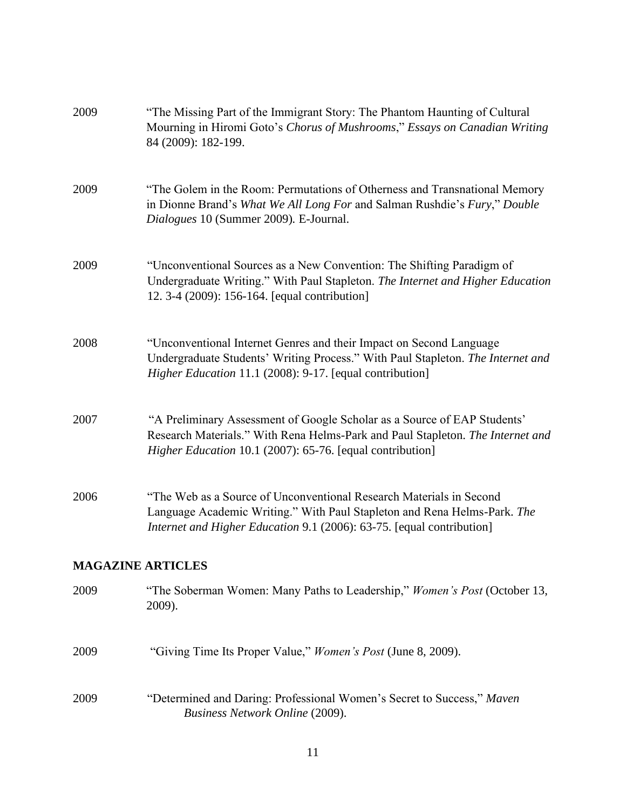| 2009                     | "The Missing Part of the Immigrant Story: The Phantom Haunting of Cultural<br>Mourning in Hiromi Goto's Chorus of Mushrooms," Essays on Canadian Writing<br>84 (2009): 182-199.                                           |
|--------------------------|---------------------------------------------------------------------------------------------------------------------------------------------------------------------------------------------------------------------------|
| 2009                     | "The Golem in the Room: Permutations of Otherness and Transnational Memory<br>in Dionne Brand's What We All Long For and Salman Rushdie's Fury," Double<br>Dialogues 10 (Summer 2009). E-Journal.                         |
| 2009                     | "Unconventional Sources as a New Convention: The Shifting Paradigm of<br>Undergraduate Writing." With Paul Stapleton. The Internet and Higher Education<br>12. 3-4 (2009): 156-164. [equal contribution]                  |
| 2008                     | "Unconventional Internet Genres and their Impact on Second Language<br>Undergraduate Students' Writing Process." With Paul Stapleton. The Internet and<br><i>Higher Education</i> 11.1 (2008): 9-17. [equal contribution] |
| 2007                     | "A Preliminary Assessment of Google Scholar as a Source of EAP Students'<br>Research Materials." With Rena Helms-Park and Paul Stapleton. The Internet and<br>Higher Education 10.1 (2007): 65-76. [equal contribution]   |
| 2006                     | "The Web as a Source of Unconventional Research Materials in Second<br>Language Academic Writing." With Paul Stapleton and Rena Helms-Park. The<br>Internet and Higher Education 9.1 (2006): 63-75. [equal contribution]  |
| <b>MAGAZINE ARTICLES</b> |                                                                                                                                                                                                                           |
| 2009                     | "The Soberman Women: Many Paths to Leadership," <i>Women's Post</i> (October 13,<br>2009).                                                                                                                                |
| 2009                     | "Giving Time Its Proper Value," <i>Women's Post</i> (June 8, 2009).                                                                                                                                                       |
| 2009                     | "Determined and Daring: Professional Women's Secret to Success," Maven<br><b>Business Network Online (2009).</b>                                                                                                          |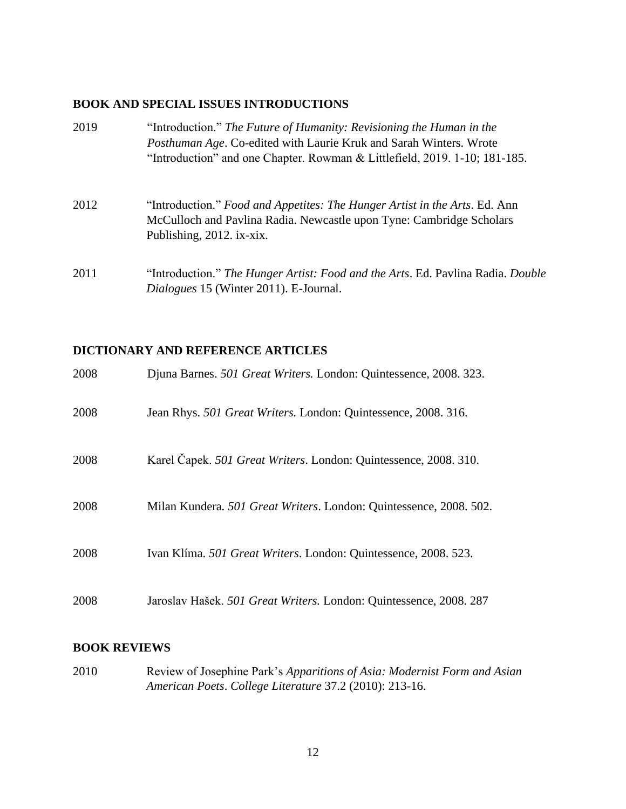### **BOOK AND SPECIAL ISSUES INTRODUCTIONS**

| 2019 | "Introduction." The Future of Humanity: Revisioning the Human in the<br><i>Posthuman Age.</i> Co-edited with Laurie Kruk and Sarah Winters. Wrote<br>"Introduction" and one Chapter. Rowman & Littlefield, 2019. 1-10; 181-185. |
|------|---------------------------------------------------------------------------------------------------------------------------------------------------------------------------------------------------------------------------------|
| 2012 | "Introduction." Food and Appetites: The Hunger Artist in the Arts. Ed. Ann<br>McCulloch and Pavlina Radia. Newcastle upon Tyne: Cambridge Scholars<br>Publishing, 2012. ix-xix.                                                 |
| 2011 | "Introduction." The Hunger Artist: Food and the Arts. Ed. Pavlina Radia. Double<br>Dialogues 15 (Winter 2011). E-Journal.                                                                                                       |

# **DICTIONARY AND REFERENCE ARTICLES**

| 2008 | Djuna Barnes. 501 Great Writers. London: Quintessence, 2008. 323.  |
|------|--------------------------------------------------------------------|
| 2008 | Jean Rhys. 501 Great Writers. London: Quintessence, 2008. 316.     |
| 2008 | Karel Čapek. 501 Great Writers. London: Quintessence, 2008. 310.   |
| 2008 | Milan Kundera. 501 Great Writers. London: Quintessence, 2008. 502. |
| 2008 | Ivan Klíma. 501 Great Writers. London: Quintessence, 2008. 523.    |
| 2008 | Jaroslav Hašek. 501 Great Writers. London: Quintessence, 2008. 287 |

#### **BOOK REVIEWS**

2010 Review of Josephine Park's *Apparitions of Asia: Modernist Form and Asian American Poets*. *College Literature* 37.2 (2010): 213-16.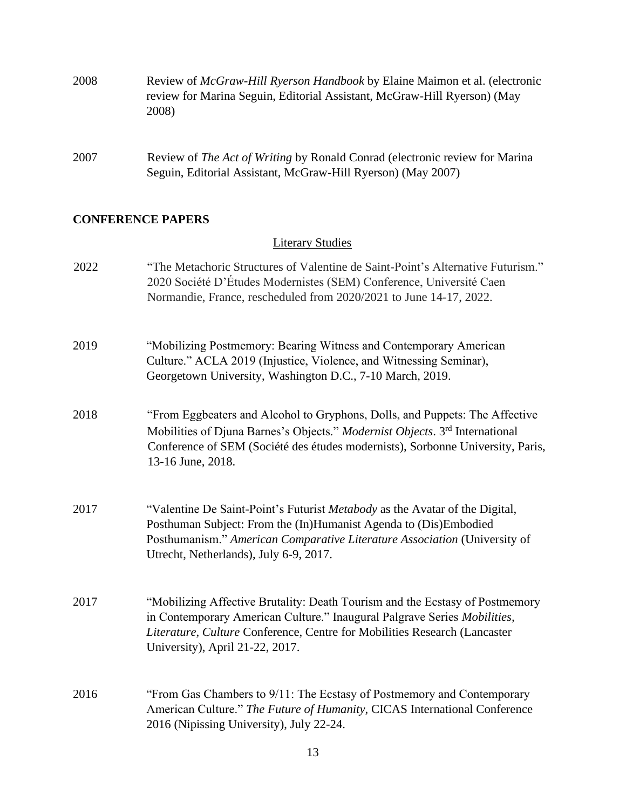| 2008 | Review of <i>McGraw-Hill Ryerson Handbook</i> by Elaine Maimon et al. (electronic<br>review for Marina Seguin, Editorial Assistant, McGraw-Hill Ryerson) (May<br>2008) |
|------|------------------------------------------------------------------------------------------------------------------------------------------------------------------------|
| 2007 | Review of <i>The Act of Writing</i> by Ronald Conrad (electronic review for Marina<br>Seguin, Editorial Assistant, McGraw-Hill Ryerson) (May 2007)                     |

### **CONFERENCE PAPERS**

# Literary Studies

| 2022 | "The Metachoric Structures of Valentine de Saint-Point's Alternative Futurism."<br>2020 Société D'Études Modernistes (SEM) Conference, Université Caen<br>Normandie, France, rescheduled from 2020/2021 to June 14-17, 2022.                                             |
|------|--------------------------------------------------------------------------------------------------------------------------------------------------------------------------------------------------------------------------------------------------------------------------|
| 2019 | "Mobilizing Postmemory: Bearing Witness and Contemporary American<br>Culture." ACLA 2019 (Injustice, Violence, and Witnessing Seminar),<br>Georgetown University, Washington D.C., 7-10 March, 2019.                                                                     |
| 2018 | "From Eggbeaters and Alcohol to Gryphons, Dolls, and Puppets: The Affective<br>Mobilities of Djuna Barnes's Objects." Modernist Objects. 3rd International<br>Conference of SEM (Société des études modernists), Sorbonne University, Paris,<br>13-16 June, 2018.        |
| 2017 | "Valentine De Saint-Point's Futurist Metabody as the Avatar of the Digital,<br>Posthuman Subject: From the (In)Humanist Agenda to (Dis)Embodied<br>Posthumanism." American Comparative Literature Association (University of<br>Utrecht, Netherlands), July 6-9, 2017.   |
| 2017 | "Mobilizing Affective Brutality: Death Tourism and the Ecstasy of Postmemory<br>in Contemporary American Culture." Inaugural Palgrave Series Mobilities,<br>Literature, Culture Conference, Centre for Mobilities Research (Lancaster<br>University), April 21-22, 2017. |
| 2016 | "From Gas Chambers to 9/11: The Ecstasy of Postmemory and Contemporary<br>American Culture." The Future of Humanity, CICAS International Conference<br>2016 (Nipissing University), July 22-24.                                                                          |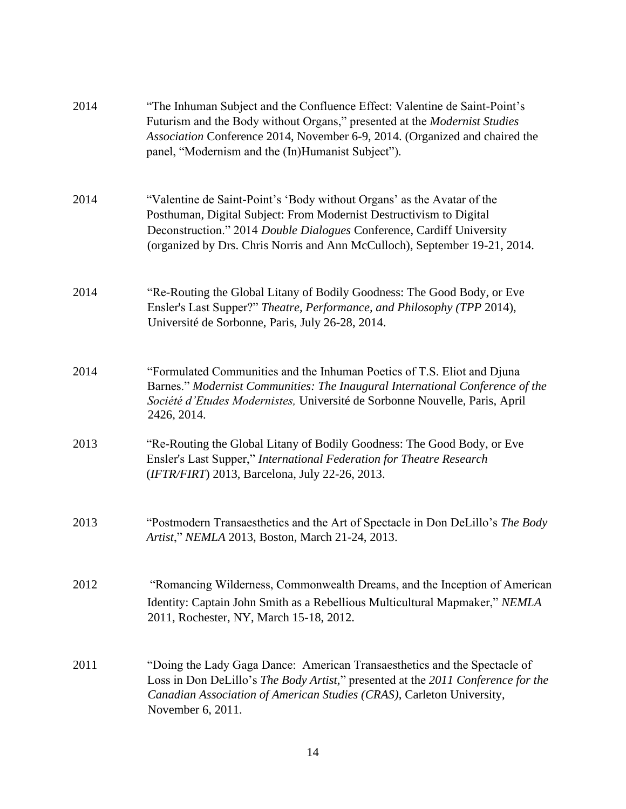| 2014 | "The Inhuman Subject and the Confluence Effect: Valentine de Saint-Point's<br>Futurism and the Body without Organs," presented at the <i>Modernist Studies</i><br>Association Conference 2014, November 6-9, 2014. (Organized and chaired the<br>panel, "Modernism and the (In)Humanist Subject").   |
|------|------------------------------------------------------------------------------------------------------------------------------------------------------------------------------------------------------------------------------------------------------------------------------------------------------|
| 2014 | "Valentine de Saint-Point's 'Body without Organs' as the Avatar of the<br>Posthuman, Digital Subject: From Modernist Destructivism to Digital<br>Deconstruction." 2014 Double Dialogues Conference, Cardiff University<br>(organized by Drs. Chris Norris and Ann McCulloch), September 19-21, 2014. |
| 2014 | "Re-Routing the Global Litany of Bodily Goodness: The Good Body, or Eve<br>Ensler's Last Supper?" Theatre, Performance, and Philosophy (TPP 2014),<br>Université de Sorbonne, Paris, July 26-28, 2014.                                                                                               |
| 2014 | "Formulated Communities and the Inhuman Poetics of T.S. Eliot and Djuna<br>Barnes." Modernist Communities: The Inaugural International Conference of the<br>Société d'Etudes Modernistes, Université de Sorbonne Nouvelle, Paris, April<br>2426, 2014.                                               |
| 2013 | "Re-Routing the Global Litany of Bodily Goodness: The Good Body, or Eve<br>Ensler's Last Supper," International Federation for Theatre Research<br>(IFTR/FIRT) 2013, Barcelona, July 22-26, 2013.                                                                                                    |
| 2013 | "Postmodern Transaesthetics and the Art of Spectacle in Don DeLillo's The Body<br>Artist," NEMLA 2013, Boston, March 21-24, 2013.                                                                                                                                                                    |
| 2012 | "Romancing Wilderness, Commonwealth Dreams, and the Inception of American<br>Identity: Captain John Smith as a Rebellious Multicultural Mapmaker," NEMLA<br>2011, Rochester, NY, March 15-18, 2012.                                                                                                  |
| 2011 | "Doing the Lady Gaga Dance: American Transaesthetics and the Spectacle of<br>Loss in Don DeLillo's The Body Artist," presented at the 2011 Conference for the<br>Canadian Association of American Studies (CRAS), Carleton University,<br>November 6, 2011.                                          |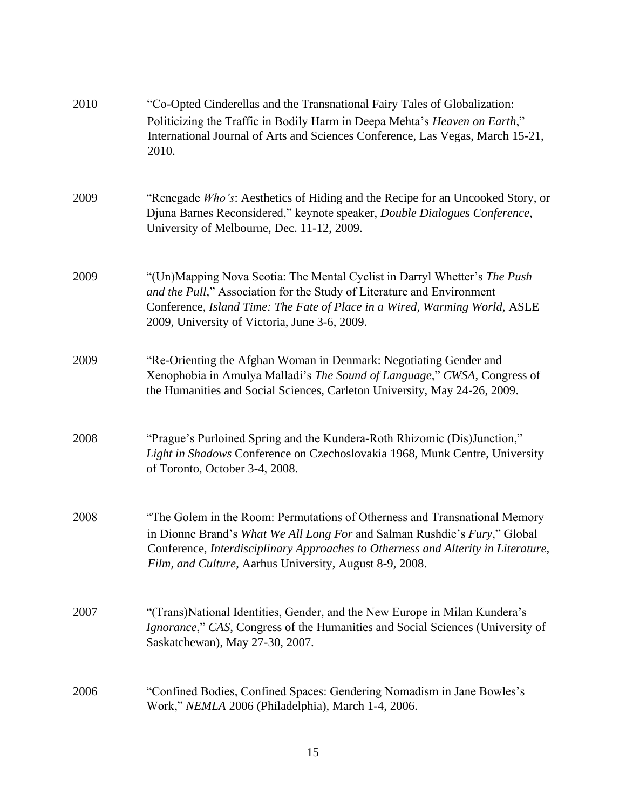| 2010 | "Co-Opted Cinderellas and the Transnational Fairy Tales of Globalization:<br>Politicizing the Traffic in Bodily Harm in Deepa Mehta's Heaven on Earth,"<br>International Journal of Arts and Sciences Conference, Las Vegas, March 15-21,<br>2010.                                                      |
|------|---------------------------------------------------------------------------------------------------------------------------------------------------------------------------------------------------------------------------------------------------------------------------------------------------------|
| 2009 | "Renegade Who's: Aesthetics of Hiding and the Recipe for an Uncooked Story, or<br>Djuna Barnes Reconsidered," keynote speaker, Double Dialogues Conference,<br>University of Melbourne, Dec. 11-12, 2009.                                                                                               |
| 2009 | "(Un)Mapping Nova Scotia: The Mental Cyclist in Darryl Whetter's The Push<br>and the Pull," Association for the Study of Literature and Environment<br>Conference, Island Time: The Fate of Place in a Wired, Warming World, ASLE<br>2009, University of Victoria, June 3-6, 2009.                      |
| 2009 | "Re-Orienting the Afghan Woman in Denmark: Negotiating Gender and<br>Xenophobia in Amulya Malladi's The Sound of Language," CWSA, Congress of<br>the Humanities and Social Sciences, Carleton University, May 24-26, 2009.                                                                              |
| 2008 | "Prague's Purloined Spring and the Kundera-Roth Rhizomic (Dis)Junction,"<br>Light in Shadows Conference on Czechoslovakia 1968, Munk Centre, University<br>of Toronto, October 3-4, 2008.                                                                                                               |
| 2008 | "The Golem in the Room: Permutations of Otherness and Transnational Memory<br>in Dionne Brand's What We All Long For and Salman Rushdie's Fury," Global<br>Conference, Interdisciplinary Approaches to Otherness and Alterity in Literature,<br>Film, and Culture, Aarhus University, August 8-9, 2008. |
| 2007 | "(Trans)National Identities, Gender, and the New Europe in Milan Kundera's<br>Ignorance," CAS, Congress of the Humanities and Social Sciences (University of<br>Saskatchewan), May 27-30, 2007.                                                                                                         |
| 2006 | "Confined Bodies, Confined Spaces: Gendering Nomadism in Jane Bowles's<br>Work," NEMLA 2006 (Philadelphia), March 1-4, 2006.                                                                                                                                                                            |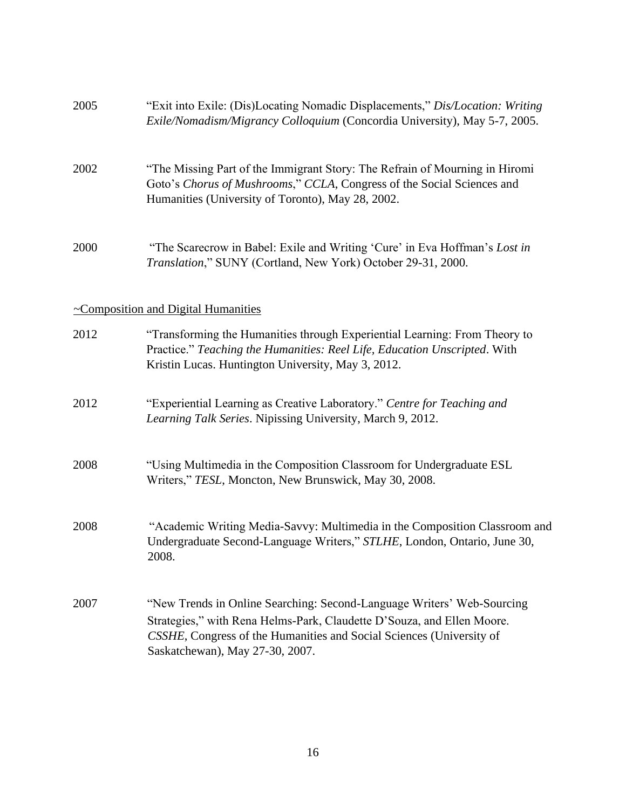| 2005 | "Exit into Exile: (Dis)Locating Nomadic Displacements," Dis/Location: Writing<br>Exile/Nomadism/Migrancy Colloquium (Concordia University), May 5-7, 2005.                                                                                                  |
|------|-------------------------------------------------------------------------------------------------------------------------------------------------------------------------------------------------------------------------------------------------------------|
| 2002 | "The Missing Part of the Immigrant Story: The Refrain of Mourning in Hiromi<br>Goto's Chorus of Mushrooms," CCLA, Congress of the Social Sciences and<br>Humanities (University of Toronto), May 28, 2002.                                                  |
| 2000 | "The Scarecrow in Babel: Exile and Writing 'Cure' in Eva Hoffman's Lost in<br>Translation," SUNY (Cortland, New York) October 29-31, 2000.                                                                                                                  |
|      | $\sim$ Composition and Digital Humanities                                                                                                                                                                                                                   |
| 2012 | "Transforming the Humanities through Experiential Learning: From Theory to<br>Practice." Teaching the Humanities: Reel Life, Education Unscripted. With<br>Kristin Lucas. Huntington University, May 3, 2012.                                               |
| 2012 | "Experiential Learning as Creative Laboratory." Centre for Teaching and<br>Learning Talk Series. Nipissing University, March 9, 2012.                                                                                                                       |
| 2008 | "Using Multimedia in the Composition Classroom for Undergraduate ESL<br>Writers," TESL, Moncton, New Brunswick, May 30, 2008.                                                                                                                               |
| 2008 | "Academic Writing Media-Savvy: Multimedia in the Composition Classroom and<br>Undergraduate Second-Language Writers," STLHE, London, Ontario, June 30,<br>2008.                                                                                             |
| 2007 | "New Trends in Online Searching: Second-Language Writers' Web-Sourcing<br>Strategies," with Rena Helms-Park, Claudette D'Souza, and Ellen Moore.<br>CSSHE, Congress of the Humanities and Social Sciences (University of<br>Saskatchewan), May 27-30, 2007. |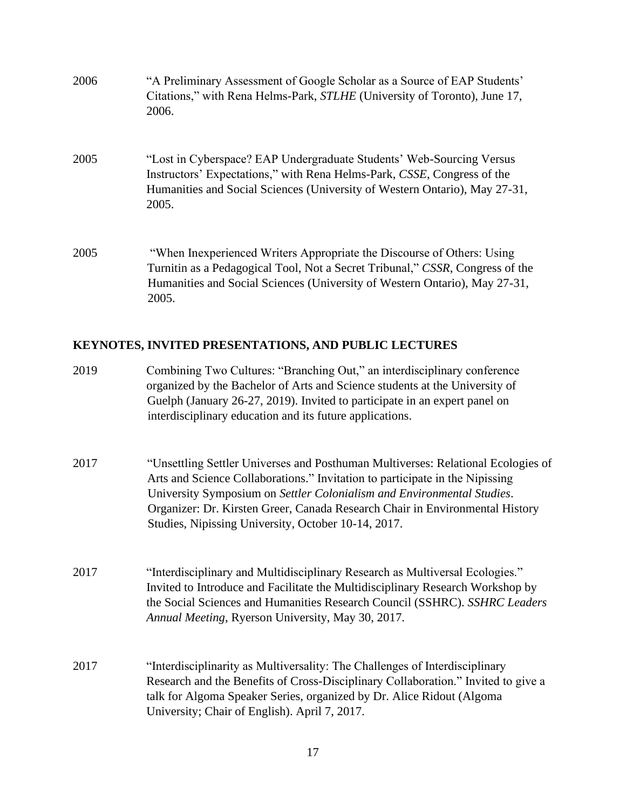| 2006 | "A Preliminary Assessment of Google Scholar as a Source of EAP Students'<br>Citations," with Rena Helms-Park, STLHE (University of Toronto), June 17,<br>2006.                                                                                                                                                                                                                    |
|------|-----------------------------------------------------------------------------------------------------------------------------------------------------------------------------------------------------------------------------------------------------------------------------------------------------------------------------------------------------------------------------------|
| 2005 | "Lost in Cyberspace? EAP Undergraduate Students' Web-Sourcing Versus<br>Instructors' Expectations," with Rena Helms-Park, CSSE, Congress of the<br>Humanities and Social Sciences (University of Western Ontario), May 27-31,<br>2005.                                                                                                                                            |
| 2005 | "When Inexperienced Writers Appropriate the Discourse of Others: Using<br>Turnitin as a Pedagogical Tool, Not a Secret Tribunal," CSSR, Congress of the<br>Humanities and Social Sciences (University of Western Ontario), May 27-31,<br>2005.                                                                                                                                    |
|      | KEYNOTES, INVITED PRESENTATIONS, AND PUBLIC LECTURES                                                                                                                                                                                                                                                                                                                              |
| 2019 | Combining Two Cultures: "Branching Out," an interdisciplinary conference<br>organized by the Bachelor of Arts and Science students at the University of<br>Guelph (January 26-27, 2019). Invited to participate in an expert panel on<br>interdisciplinary education and its future applications.                                                                                 |
| 2017 | "Unsettling Settler Universes and Posthuman Multiverses: Relational Ecologies of<br>Arts and Science Collaborations." Invitation to participate in the Nipissing<br>University Symposium on Settler Colonialism and Environmental Studies.<br>Organizer: Dr. Kirsten Greer, Canada Research Chair in Environmental History<br>Studies, Nipissing University, October 10-14, 2017. |
| 2017 | "Interdisciplinary and Multidisciplinary Research as Multiversal Ecologies."<br>Invited to Introduce and Facilitate the Multidisciplinary Research Workshop by<br>the Social Sciences and Humanities Research Council (SSHRC). SSHRC Leaders<br>Annual Meeting, Ryerson University, May 30, 2017.                                                                                 |

2017 "Interdisciplinarity as Multiversality: The Challenges of Interdisciplinary Research and the Benefits of Cross-Disciplinary Collaboration." Invited to give a talk for Algoma Speaker Series, organized by Dr. Alice Ridout (Algoma University; Chair of English). April 7, 2017.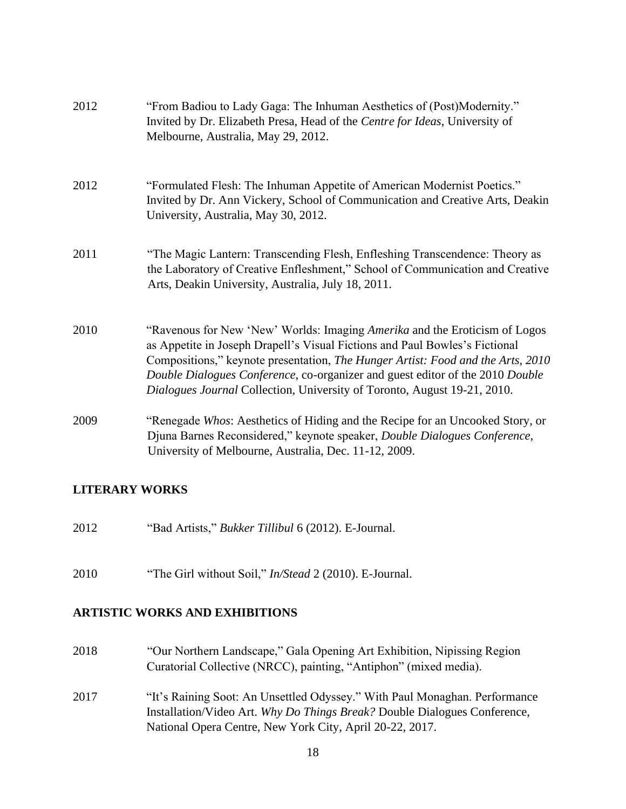| 2012 | "From Badiou to Lady Gaga: The Inhuman Aesthetics of (Post)Modernity."<br>Invited by Dr. Elizabeth Presa, Head of the Centre for Ideas, University of<br>Melbourne, Australia, May 29, 2012.                                                                                                                                                                                                              |
|------|-----------------------------------------------------------------------------------------------------------------------------------------------------------------------------------------------------------------------------------------------------------------------------------------------------------------------------------------------------------------------------------------------------------|
| 2012 | "Formulated Flesh: The Inhuman Appetite of American Modernist Poetics."<br>Invited by Dr. Ann Vickery, School of Communication and Creative Arts, Deakin<br>University, Australia, May 30, 2012.                                                                                                                                                                                                          |
| 2011 | "The Magic Lantern: Transcending Flesh, Enfleshing Transcendence: Theory as<br>the Laboratory of Creative Enfleshment," School of Communication and Creative<br>Arts, Deakin University, Australia, July 18, 2011.                                                                                                                                                                                        |
| 2010 | "Ravenous for New 'New' Worlds: Imaging Amerika and the Eroticism of Logos<br>as Appetite in Joseph Drapell's Visual Fictions and Paul Bowles's Fictional<br>Compositions," keynote presentation, The Hunger Artist: Food and the Arts, 2010<br>Double Dialogues Conference, co-organizer and guest editor of the 2010 Double<br>Dialogues Journal Collection, University of Toronto, August 19-21, 2010. |
| 2009 | "Renegade Whos: Aesthetics of Hiding and the Recipe for an Uncooked Story, or<br>Djuna Barnes Reconsidered," keynote speaker, Double Dialogues Conference,<br>University of Melbourne, Australia, Dec. 11-12, 2009.                                                                                                                                                                                       |

# **LITERARY WORKS**

- 2012 "Bad Artists," *Bukker Tillibul* 6 (2012). E-Journal.
- 2010 "The Girl without Soil," *In/Stead* 2 (2010). E-Journal.

#### **ARTISTIC WORKS AND EXHIBITIONS**

- 2018 "Our Northern Landscape," Gala Opening Art Exhibition, Nipissing Region Curatorial Collective (NRCC), painting, "Antiphon" (mixed media).
- 2017 "It's Raining Soot: An Unsettled Odyssey." With Paul Monaghan. Performance Installation/Video Art. *Why Do Things Break?* Double Dialogues Conference, National Opera Centre, New York City, April 20-22, 2017.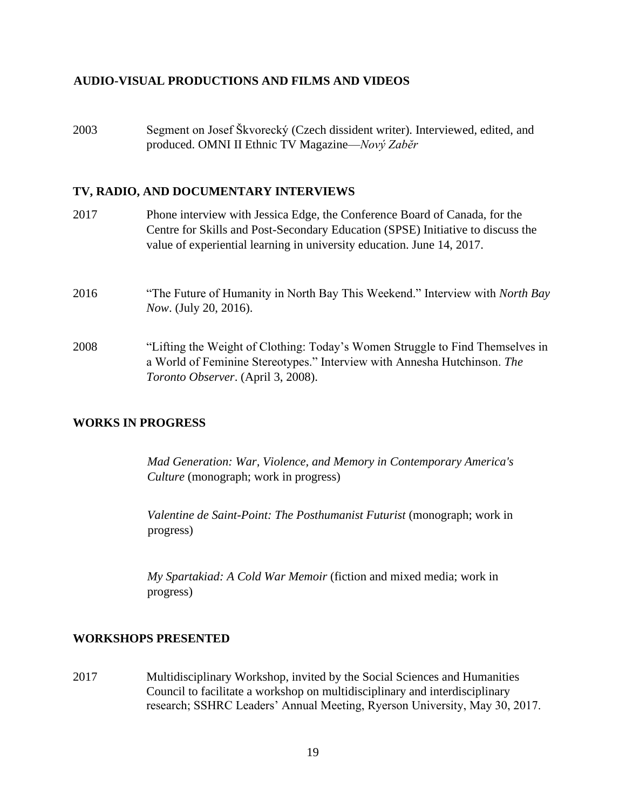#### **AUDIO-VISUAL PRODUCTIONS AND FILMS AND VIDEOS**

2003 Segment on Josef Škvorecký (Czech dissident writer). Interviewed, edited, and produced. OMNI II Ethnic TV Magazine—*Nový Zabĕr*

#### **TV, RADIO, AND DOCUMENTARY INTERVIEWS**

2017 Phone interview with Jessica Edge, the Conference Board of Canada, for the Centre for Skills and Post-Secondary Education (SPSE) Initiative to discuss the value of experiential learning in university education. June 14, 2017. 2016 "The Future of Humanity in North Bay This Weekend." Interview with *North Bay Now*. (July 20, 2016). 2008 "Lifting the Weight of Clothing: Today's Women Struggle to Find Themselves in a World of Feminine Stereotypes." Interview with Annesha Hutchinson. *The Toronto Observer*. (April 3, 2008).

#### **WORKS IN PROGRESS**

*Mad Generation: War, Violence, and Memory in Contemporary America's Culture* (monograph; work in progress)

*Valentine de Saint-Point: The Posthumanist Futurist* (monograph; work in progress)

*My Spartakiad: A Cold War Memoir* (fiction and mixed media; work in progress)

#### **WORKSHOPS PRESENTED**

2017 Multidisciplinary Workshop, invited by the Social Sciences and Humanities Council to facilitate a workshop on multidisciplinary and interdisciplinary research; SSHRC Leaders' Annual Meeting, Ryerson University, May 30, 2017.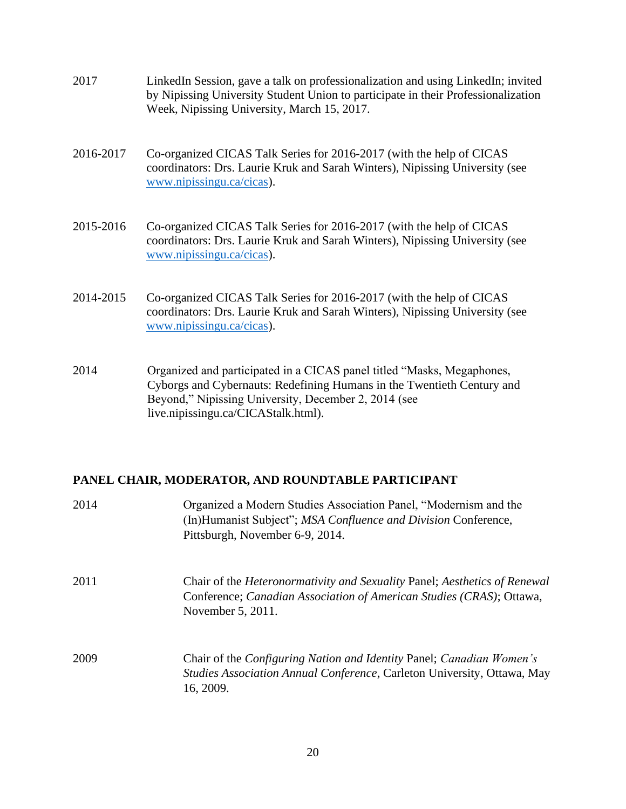- 2017 LinkedIn Session, gave a talk on professionalization and using LinkedIn; invited by Nipissing University Student Union to participate in their Professionalization Week, Nipissing University, March 15, 2017.
- 2016-2017 Co-organized CICAS Talk Series for 2016-2017 (with the help of CICAS coordinators: Drs. Laurie Kruk and Sarah Winters), Nipissing University (see [www.nipissingu.ca/cicas\)](http://www.nipissingu.ca/cicas).
- 2015-2016 Co-organized CICAS Talk Series for 2016-2017 (with the help of CICAS coordinators: Drs. Laurie Kruk and Sarah Winters), Nipissing University (see [www.nipissingu.ca/cicas\)](http://www.nipissingu.ca/cicas).
- 2014-2015 Co-organized CICAS Talk Series for 2016-2017 (with the help of CICAS coordinators: Drs. Laurie Kruk and Sarah Winters), Nipissing University (see [www.nipissingu.ca/cicas\)](http://www.nipissingu.ca/cicas).
- 2014 Organized and participated in a CICAS panel titled "Masks, Megaphones, Cyborgs and Cybernauts: Redefining Humans in the Twentieth Century and Beyond," Nipissing University, December 2, 2014 (see live.nipissingu.ca/CICAStalk.html).

#### **PANEL CHAIR, MODERATOR, AND ROUNDTABLE PARTICIPANT**

| 2014 | Organized a Modern Studies Association Panel, "Modernism and the<br>(In)Humanist Subject"; MSA Confluence and Division Conference,<br>Pittsburgh, November 6-9, 2014.         |
|------|-------------------------------------------------------------------------------------------------------------------------------------------------------------------------------|
| 2011 | Chair of the <i>Heteronormativity and Sexuality Panel; Aesthetics of Renewal</i><br>Conference; Canadian Association of American Studies (CRAS); Ottawa,<br>November 5, 2011. |
| 2009 | Chair of the Configuring Nation and Identity Panel; Canadian Women's<br>Studies Association Annual Conference, Carleton University, Ottawa, May<br>16, 2009.                  |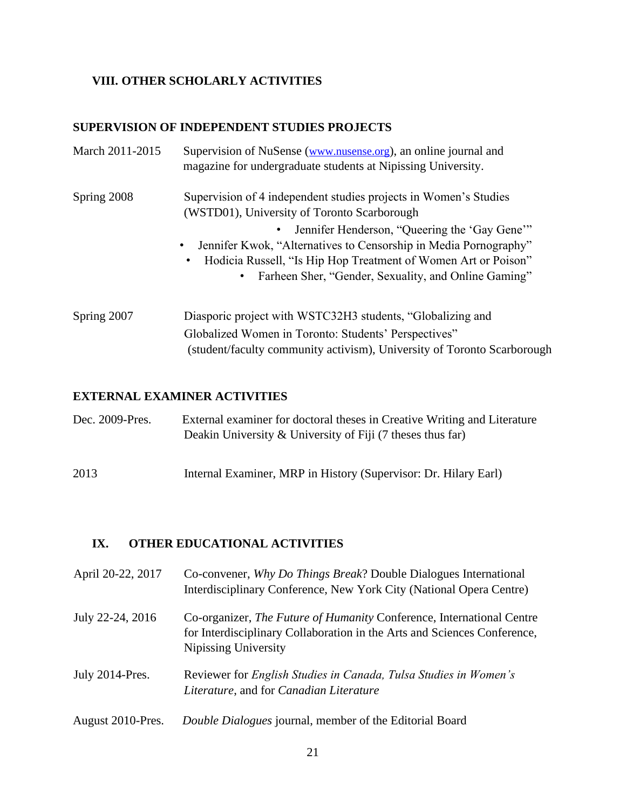# **VIII. OTHER SCHOLARLY ACTIVITIES**

### **SUPERVISION OF INDEPENDENT STUDIES PROJECTS**

| March 2011-2015 | Supervision of NuSense (www.nusense.org), an online journal and<br>magazine for undergraduate students at Nipissing University.                                                                                                                                                                                                                                                  |
|-----------------|----------------------------------------------------------------------------------------------------------------------------------------------------------------------------------------------------------------------------------------------------------------------------------------------------------------------------------------------------------------------------------|
| Spring 2008     | Supervision of 4 independent studies projects in Women's Studies<br>(WSTD01), University of Toronto Scarborough<br>Jennifer Henderson, "Queering the 'Gay Gene'"<br>Jennifer Kwok, "Alternatives to Censorship in Media Pornography"<br>Hodicia Russell, "Is Hip Hop Treatment of Women Art or Poison"<br>٠<br>Farheen Sher, "Gender, Sexuality, and Online Gaming"<br>$\bullet$ |
| Spring 2007     | Diasporic project with WSTC32H3 students, "Globalizing and<br>Globalized Women in Toronto: Students' Perspectives"<br>(student/faculty community activism), University of Toronto Scarborough                                                                                                                                                                                    |

# **EXTERNAL EXAMINER ACTIVITIES**

| Dec. 2009-Pres. | External examiner for doctoral theses in Creative Writing and Literature<br>Deakin University & University of Fiji $(7$ theses thus far) |
|-----------------|------------------------------------------------------------------------------------------------------------------------------------------|
| 2013            | Internal Examiner, MRP in History (Supervisor: Dr. Hilary Earl)                                                                          |

# **IX. OTHER EDUCATIONAL ACTIVITIES**

| April 20-22, 2017 | Co-convener, Why Do Things Break? Double Dialogues International<br>Interdisciplinary Conference, New York City (National Opera Centre)                                          |
|-------------------|----------------------------------------------------------------------------------------------------------------------------------------------------------------------------------|
| July 22-24, 2016  | Co-organizer, <i>The Future of Humanity</i> Conference, International Centre<br>for Interdisciplinary Collaboration in the Arts and Sciences Conference,<br>Nipissing University |
| July 2014-Pres.   | Reviewer for English Studies in Canada, Tulsa Studies in Women's<br>Literature, and for Canadian Literature                                                                      |
| August 2010-Pres. | Double Dialogues journal, member of the Editorial Board                                                                                                                          |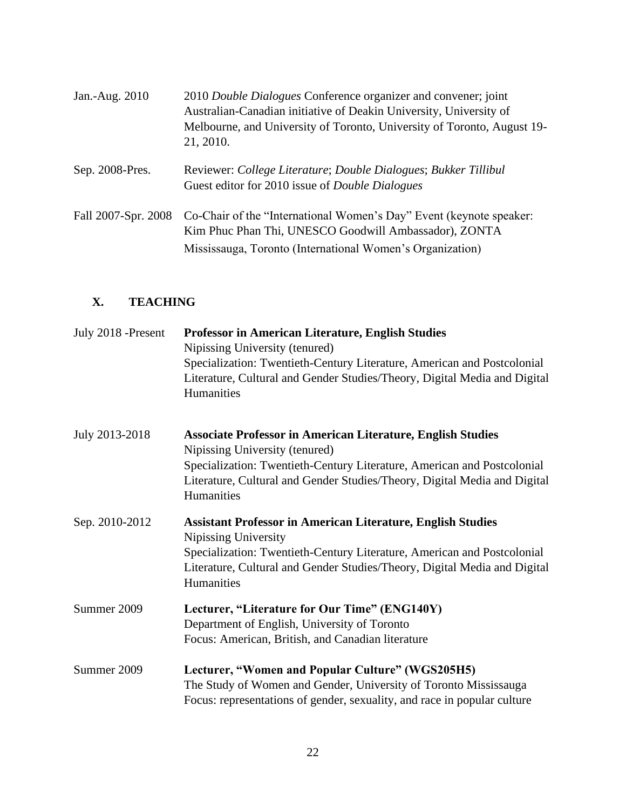| Jan.-Aug. 2010      | 2010 Double Dialogues Conference organizer and convener; joint<br>Australian-Canadian initiative of Deakin University, University of<br>Melbourne, and University of Toronto, University of Toronto, August 19-<br>21, 2010. |
|---------------------|------------------------------------------------------------------------------------------------------------------------------------------------------------------------------------------------------------------------------|
| Sep. 2008-Pres.     | Reviewer: College Literature; Double Dialogues; Bukker Tillibul<br>Guest editor for 2010 issue of <i>Double Dialogues</i>                                                                                                    |
| Fall 2007-Spr. 2008 | Co-Chair of the "International Women's Day" Event (keynote speaker:<br>Kim Phuc Phan Thi, UNESCO Goodwill Ambassador), ZONTA<br>Mississauga, Toronto (International Women's Organization)                                    |

# **X. TEACHING**

| July 2018 - Present | <b>Professor in American Literature, English Studies</b><br>Nipissing University (tenured)<br>Specialization: Twentieth-Century Literature, American and Postcolonial<br>Literature, Cultural and Gender Studies/Theory, Digital Media and Digital<br>Humanities           |
|---------------------|----------------------------------------------------------------------------------------------------------------------------------------------------------------------------------------------------------------------------------------------------------------------------|
| July 2013-2018      | <b>Associate Professor in American Literature, English Studies</b><br>Nipissing University (tenured)<br>Specialization: Twentieth-Century Literature, American and Postcolonial<br>Literature, Cultural and Gender Studies/Theory, Digital Media and Digital<br>Humanities |
| Sep. 2010-2012      | <b>Assistant Professor in American Literature, English Studies</b><br>Nipissing University<br>Specialization: Twentieth-Century Literature, American and Postcolonial<br>Literature, Cultural and Gender Studies/Theory, Digital Media and Digital<br>Humanities           |
| Summer 2009         | Lecturer, "Literature for Our Time" (ENG140Y)<br>Department of English, University of Toronto<br>Focus: American, British, and Canadian literature                                                                                                                         |
| Summer 2009         | Lecturer, "Women and Popular Culture" (WGS205H5)<br>The Study of Women and Gender, University of Toronto Mississauga<br>Focus: representations of gender, sexuality, and race in popular culture                                                                           |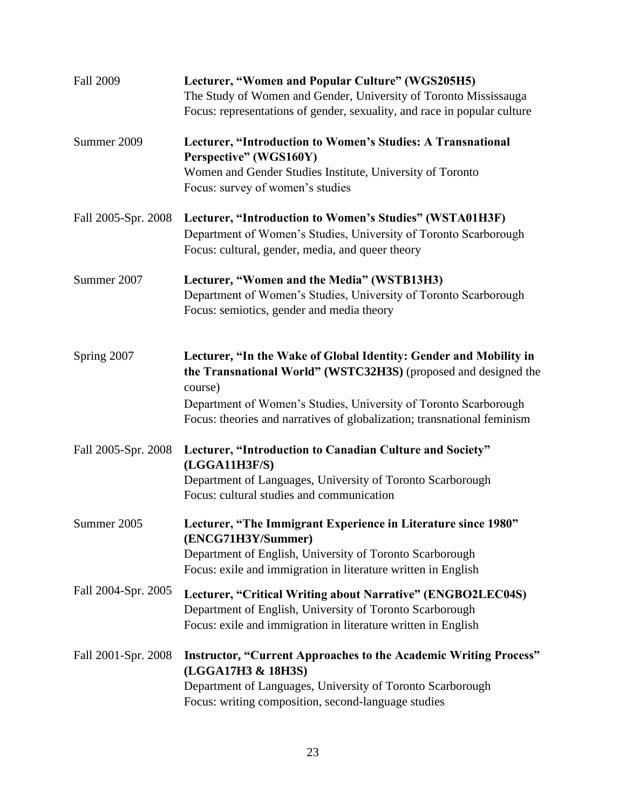| <b>Fall 2009</b>    | Lecturer, "Women and Popular Culture" (WGS205H5)<br>The Study of Women and Gender, University of Toronto Mississauga<br>Focus: representations of gender, sexuality, and race in popular culture                                                                                               |
|---------------------|------------------------------------------------------------------------------------------------------------------------------------------------------------------------------------------------------------------------------------------------------------------------------------------------|
| Summer 2009         | Lecturer, "Introduction to Women's Studies: A Transnational<br>Perspective" (WGS160Y)<br>Women and Gender Studies Institute, University of Toronto<br>Focus: survey of women's studies                                                                                                         |
| Fall 2005-Spr. 2008 | Lecturer, "Introduction to Women's Studies" (WSTA01H3F)<br>Department of Women's Studies, University of Toronto Scarborough<br>Focus: cultural, gender, media, and queer theory                                                                                                                |
| Summer 2007         | Lecturer, "Women and the Media" (WSTB13H3)<br>Department of Women's Studies, University of Toronto Scarborough<br>Focus: semiotics, gender and media theory                                                                                                                                    |
| Spring 2007         | Lecturer, "In the Wake of Global Identity: Gender and Mobility in<br>the Transnational World" (WSTC32H3S) (proposed and designed the<br>course)<br>Department of Women's Studies, University of Toronto Scarborough<br>Focus: theories and narratives of globalization; transnational feminism |
| Fall 2005-Spr. 2008 | Lecturer, "Introduction to Canadian Culture and Society"<br>(LGGA11H3F/S)<br>Department of Languages, University of Toronto Scarborough<br>Focus: cultural studies and communication                                                                                                           |
| Summer 2005         | Lecturer, "The Immigrant Experience in Literature since 1980"<br>(ENCG71H3Y/Summer)<br>Department of English, University of Toronto Scarborough<br>Focus: exile and immigration in literature written in English                                                                               |
| Fall 2004-Spr. 2005 | Lecturer, "Critical Writing about Narrative" (ENGBO2LEC04S)<br>Department of English, University of Toronto Scarborough<br>Focus: exile and immigration in literature written in English                                                                                                       |
| Fall 2001-Spr. 2008 | <b>Instructor, "Current Approaches to the Academic Writing Process"</b><br>(LGGA17H3 & 18H3S)<br>Department of Languages, University of Toronto Scarborough<br>Focus: writing composition, second-language studies                                                                             |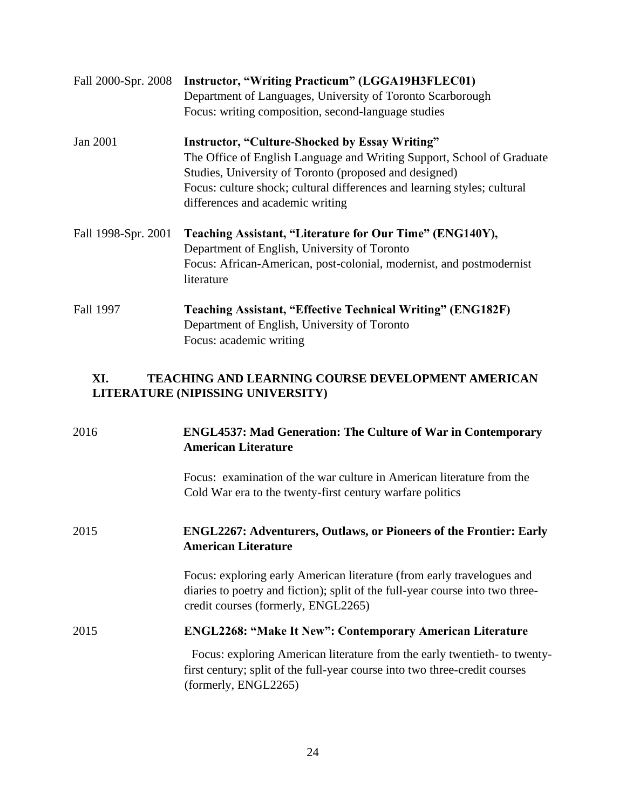| Fall 2000-Spr. 2008 | Instructor, "Writing Practicum" (LGGA19H3FLEC01)<br>Department of Languages, University of Toronto Scarborough<br>Focus: writing composition, second-language studies                                                                                                                                     |
|---------------------|-----------------------------------------------------------------------------------------------------------------------------------------------------------------------------------------------------------------------------------------------------------------------------------------------------------|
| Jan 2001            | <b>Instructor, "Culture-Shocked by Essay Writing"</b><br>The Office of English Language and Writing Support, School of Graduate<br>Studies, University of Toronto (proposed and designed)<br>Focus: culture shock; cultural differences and learning styles; cultural<br>differences and academic writing |
| Fall 1998-Spr. 2001 | Teaching Assistant, "Literature for Our Time" (ENG140Y),<br>Department of English, University of Toronto<br>Focus: African-American, post-colonial, modernist, and postmodernist<br>literature                                                                                                            |
| Fall 1997           | <b>Teaching Assistant, "Effective Technical Writing" (ENG182F)</b><br>Department of English, University of Toronto<br>Focus: academic writing                                                                                                                                                             |

# **XI. TEACHING AND LEARNING COURSE DEVELOPMENT AMERICAN LITERATURE (NIPISSING UNIVERSITY)**

| 2016 | <b>ENGL4537: Mad Generation: The Culture of War in Contemporary</b><br><b>American Literature</b>                                                                                              |
|------|------------------------------------------------------------------------------------------------------------------------------------------------------------------------------------------------|
|      | Focus: examination of the war culture in American literature from the<br>Cold War era to the twenty-first century warfare politics                                                             |
| 2015 | ENGL2267: Adventurers, Outlaws, or Pioneers of the Frontier: Early<br><b>American Literature</b>                                                                                               |
|      | Focus: exploring early American literature (from early travelogues and<br>diaries to poetry and fiction); split of the full-year course into two three-<br>credit courses (formerly, ENGL2265) |
| 2015 | <b>ENGL2268: "Make It New": Contemporary American Literature</b>                                                                                                                               |
|      | Focus: exploring American literature from the early twentieth- to twenty-<br>first century; split of the full-year course into two three-credit courses<br>(formerly, ENGL2265)                |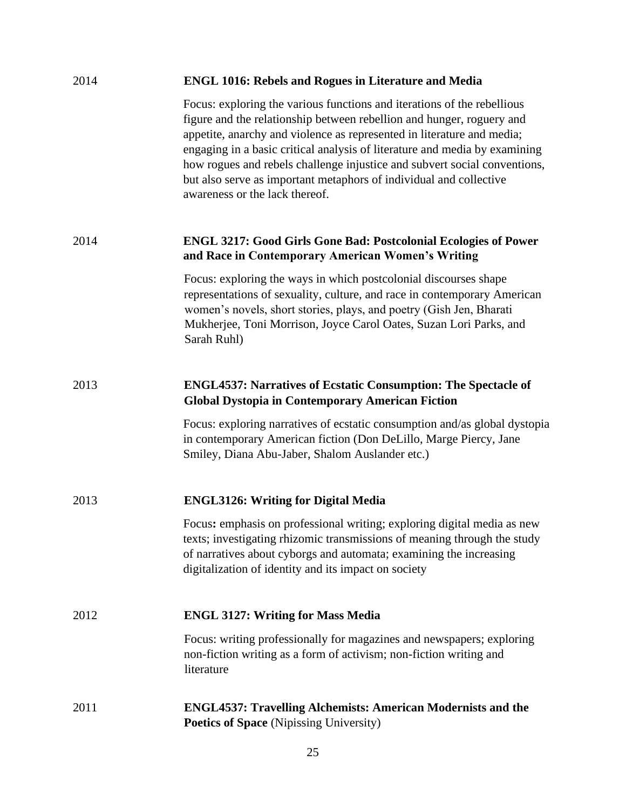| 2014 | <b>ENGL 1016: Rebels and Rogues in Literature and Media</b>                                                                                                                                                                                                                                                                                                                                                                                                                                   |
|------|-----------------------------------------------------------------------------------------------------------------------------------------------------------------------------------------------------------------------------------------------------------------------------------------------------------------------------------------------------------------------------------------------------------------------------------------------------------------------------------------------|
|      | Focus: exploring the various functions and iterations of the rebellious<br>figure and the relationship between rebellion and hunger, roguery and<br>appetite, anarchy and violence as represented in literature and media;<br>engaging in a basic critical analysis of literature and media by examining<br>how rogues and rebels challenge injustice and subvert social conventions,<br>but also serve as important metaphors of individual and collective<br>awareness or the lack thereof. |
| 2014 | <b>ENGL 3217: Good Girls Gone Bad: Postcolonial Ecologies of Power</b><br>and Race in Contemporary American Women's Writing                                                                                                                                                                                                                                                                                                                                                                   |
|      | Focus: exploring the ways in which postcolonial discourses shape<br>representations of sexuality, culture, and race in contemporary American<br>women's novels, short stories, plays, and poetry (Gish Jen, Bharati<br>Mukherjee, Toni Morrison, Joyce Carol Oates, Suzan Lori Parks, and<br>Sarah Ruhl)                                                                                                                                                                                      |
| 2013 | <b>ENGL4537: Narratives of Ecstatic Consumption: The Spectacle of</b><br><b>Global Dystopia in Contemporary American Fiction</b>                                                                                                                                                                                                                                                                                                                                                              |
|      | Focus: exploring narratives of ecstatic consumption and/as global dystopia<br>in contemporary American fiction (Don DeLillo, Marge Piercy, Jane<br>Smiley, Diana Abu-Jaber, Shalom Auslander etc.)                                                                                                                                                                                                                                                                                            |
| 2013 | <b>ENGL3126: Writing for Digital Media</b>                                                                                                                                                                                                                                                                                                                                                                                                                                                    |
|      | Focus: emphasis on professional writing; exploring digital media as new<br>texts; investigating rhizomic transmissions of meaning through the study<br>of narratives about cyborgs and automata; examining the increasing<br>digitalization of identity and its impact on society                                                                                                                                                                                                             |
| 2012 | <b>ENGL 3127: Writing for Mass Media</b>                                                                                                                                                                                                                                                                                                                                                                                                                                                      |
|      | Focus: writing professionally for magazines and newspapers; exploring<br>non-fiction writing as a form of activism; non-fiction writing and<br>literature                                                                                                                                                                                                                                                                                                                                     |
| 2011 | <b>ENGL4537: Travelling Alchemists: American Modernists and the</b><br>Poetics of Space (Nipissing University)                                                                                                                                                                                                                                                                                                                                                                                |

25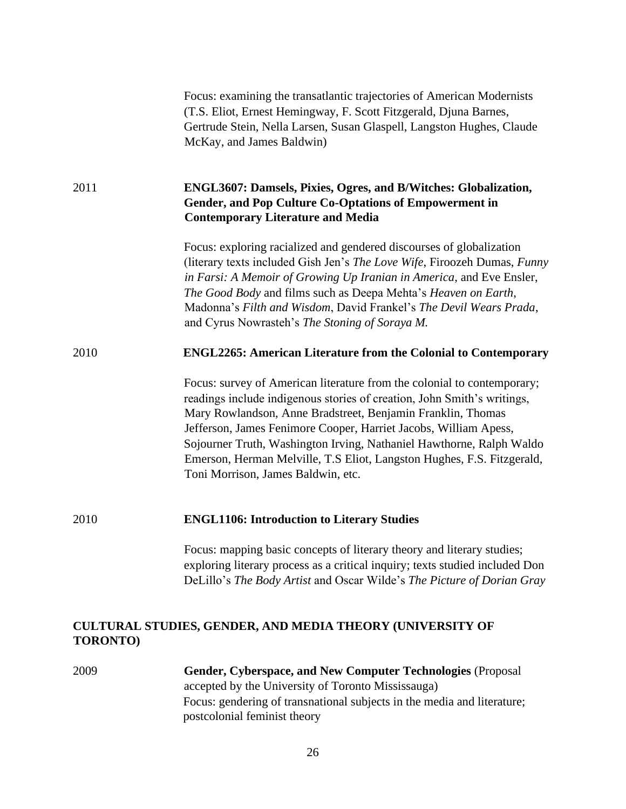|                 | Focus: examining the transatlantic trajectories of American Modernists<br>(T.S. Eliot, Ernest Hemingway, F. Scott Fitzgerald, Djuna Barnes,<br>Gertrude Stein, Nella Larsen, Susan Glaspell, Langston Hughes, Claude<br>McKay, and James Baldwin)                                                                                                                                                                                                                             |
|-----------------|-------------------------------------------------------------------------------------------------------------------------------------------------------------------------------------------------------------------------------------------------------------------------------------------------------------------------------------------------------------------------------------------------------------------------------------------------------------------------------|
| 2011            | <b>ENGL3607: Damsels, Pixies, Ogres, and B/Witches: Globalization,</b><br>Gender, and Pop Culture Co-Optations of Empowerment in<br><b>Contemporary Literature and Media</b>                                                                                                                                                                                                                                                                                                  |
|                 | Focus: exploring racialized and gendered discourses of globalization<br>(literary texts included Gish Jen's The Love Wife, Firoozeh Dumas, Funny<br>in Farsi: A Memoir of Growing Up Iranian in America, and Eve Ensler,<br>The Good Body and films such as Deepa Mehta's Heaven on Earth,<br>Madonna's Filth and Wisdom, David Frankel's The Devil Wears Prada,<br>and Cyrus Nowrasteh's The Stoning of Soraya M.                                                            |
| 2010            | <b>ENGL2265: American Literature from the Colonial to Contemporary</b>                                                                                                                                                                                                                                                                                                                                                                                                        |
|                 | Focus: survey of American literature from the colonial to contemporary;<br>readings include indigenous stories of creation, John Smith's writings,<br>Mary Rowlandson, Anne Bradstreet, Benjamin Franklin, Thomas<br>Jefferson, James Fenimore Cooper, Harriet Jacobs, William Apess,<br>Sojourner Truth, Washington Irving, Nathaniel Hawthorne, Ralph Waldo<br>Emerson, Herman Melville, T.S Eliot, Langston Hughes, F.S. Fitzgerald,<br>Toni Morrison, James Baldwin, etc. |
| 2010            | <b>ENGL1106: Introduction to Literary Studies</b>                                                                                                                                                                                                                                                                                                                                                                                                                             |
|                 | Focus: mapping basic concepts of literary theory and literary studies;<br>exploring literary process as a critical inquiry; texts studied included Don<br>DeLillo's The Body Artist and Oscar Wilde's The Picture of Dorian Gray                                                                                                                                                                                                                                              |
| <b>TORONTO)</b> | CULTURAL STUDIES, GENDER, AND MEDIA THEORY (UNIVERSITY OF                                                                                                                                                                                                                                                                                                                                                                                                                     |

2009 **Gender, Cyberspace, and New Computer Technologies** (Proposal accepted by the University of Toronto Mississauga) Focus: gendering of transnational subjects in the media and literature; postcolonial feminist theory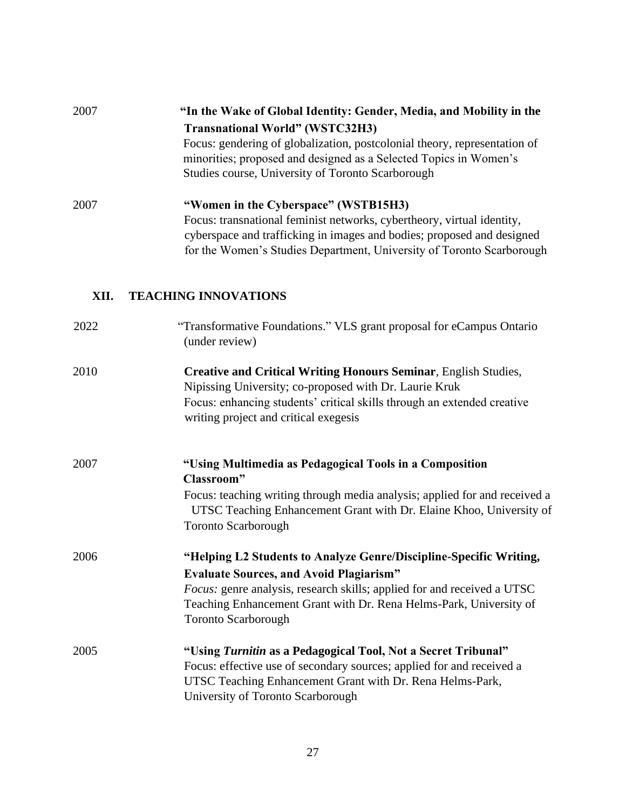| 2007 | "In the Wake of Global Identity: Gender, Media, and Mobility in the                                                                                                                                                       |
|------|---------------------------------------------------------------------------------------------------------------------------------------------------------------------------------------------------------------------------|
|      | <b>Transnational World" (WSTC32H3)</b>                                                                                                                                                                                    |
|      | Focus: gendering of globalization, postcolonial theory, representation of<br>minorities; proposed and designed as a Selected Topics in Women's<br>Studies course, University of Toronto Scarborough                       |
| 2007 | "Women in the Cyberspace" (WSTB15H3)                                                                                                                                                                                      |
|      | Focus: transnational feminist networks, cybertheory, virtual identity,<br>cyberspace and trafficking in images and bodies; proposed and designed<br>for the Women's Studies Department, University of Toronto Scarborough |

## **XII. TEACHING INNOVATIONS**

| 2022 | "Transformative Foundations." VLS grant proposal for eCampus Ontario<br>(under review)                                                                                                                                                                                                                     |
|------|------------------------------------------------------------------------------------------------------------------------------------------------------------------------------------------------------------------------------------------------------------------------------------------------------------|
| 2010 | <b>Creative and Critical Writing Honours Seminar, English Studies,</b><br>Nipissing University; co-proposed with Dr. Laurie Kruk<br>Focus: enhancing students' critical skills through an extended creative<br>writing project and critical exegesis                                                       |
| 2007 | "Using Multimedia as Pedagogical Tools in a Composition<br>Classroom"<br>Focus: teaching writing through media analysis; applied for and received a<br>UTSC Teaching Enhancement Grant with Dr. Elaine Khoo, University of<br><b>Toronto Scarborough</b>                                                   |
| 2006 | "Helping L2 Students to Analyze Genre/Discipline-Specific Writing,<br><b>Evaluate Sources, and Avoid Plagiarism"</b><br><i>Focus:</i> genre analysis, research skills; applied for and received a UTSC<br>Teaching Enhancement Grant with Dr. Rena Helms-Park, University of<br><b>Toronto Scarborough</b> |
| 2005 | "Using Turnitin as a Pedagogical Tool, Not a Secret Tribunal"<br>Focus: effective use of secondary sources; applied for and received a<br>UTSC Teaching Enhancement Grant with Dr. Rena Helms-Park,<br>University of Toronto Scarborough                                                                   |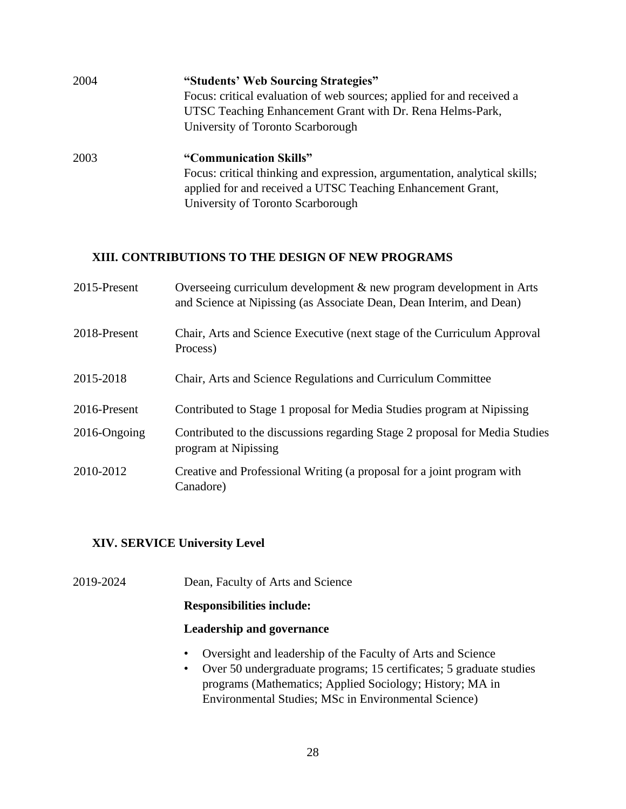| 2004 | "Students' Web Sourcing Strategies"                                        |
|------|----------------------------------------------------------------------------|
|      | Focus: critical evaluation of web sources; applied for and received a      |
|      | UTSC Teaching Enhancement Grant with Dr. Rena Helms-Park,                  |
|      | University of Toronto Scarborough                                          |
| 2003 | "Communication Skills"                                                     |
|      | Focus: critical thinking and expression, argumentation, analytical skills; |
|      | applied for and received a UTSC Teaching Enhancement Grant,                |
|      | University of Toronto Scarborough                                          |

#### **XIII. CONTRIBUTIONS TO THE DESIGN OF NEW PROGRAMS**

| 2015-Present | Overseeing curriculum development $\&$ new program development in Arts<br>and Science at Nipissing (as Associate Dean, Dean Interim, and Dean) |
|--------------|------------------------------------------------------------------------------------------------------------------------------------------------|
| 2018-Present | Chair, Arts and Science Executive (next stage of the Curriculum Approval<br>Process)                                                           |
| 2015-2018    | Chair, Arts and Science Regulations and Curriculum Committee                                                                                   |
| 2016-Present | Contributed to Stage 1 proposal for Media Studies program at Nipissing                                                                         |
| 2016-Ongoing | Contributed to the discussions regarding Stage 2 proposal for Media Studies<br>program at Nipissing                                            |
| 2010-2012    | Creative and Professional Writing (a proposal for a joint program with<br>Canadore)                                                            |

### **XIV. SERVICE University Level**

2019-2024 Dean, Faculty of Arts and Science

### **Responsibilities include:**

#### **Leadership and governance**

- Oversight and leadership of the Faculty of Arts and Science
- Over 50 undergraduate programs; 15 certificates; 5 graduate studies programs (Mathematics; Applied Sociology; History; MA in Environmental Studies; MSc in Environmental Science)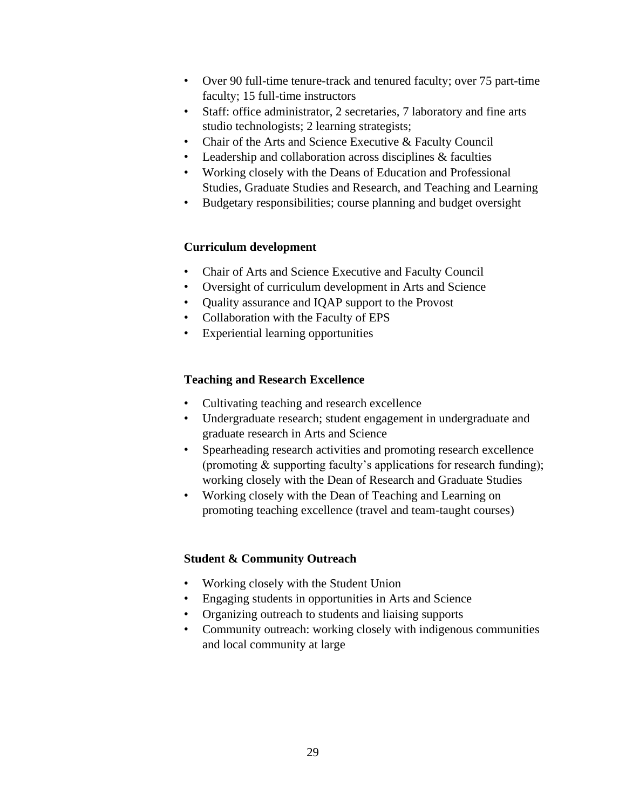- Over 90 full-time tenure-track and tenured faculty; over 75 part-time faculty; 15 full-time instructors
- Staff: office administrator, 2 secretaries, 7 laboratory and fine arts studio technologists; 2 learning strategists;
- Chair of the Arts and Science Executive & Faculty Council
- Leadership and collaboration across disciplines & faculties
- Working closely with the Deans of Education and Professional Studies, Graduate Studies and Research, and Teaching and Learning
- Budgetary responsibilities; course planning and budget oversight

#### **Curriculum development**

- Chair of Arts and Science Executive and Faculty Council
- Oversight of curriculum development in Arts and Science
- Quality assurance and IQAP support to the Provost
- Collaboration with the Faculty of EPS
- Experiential learning opportunities

#### **Teaching and Research Excellence**

- Cultivating teaching and research excellence
- Undergraduate research; student engagement in undergraduate and graduate research in Arts and Science
- Spearheading research activities and promoting research excellence (promoting & supporting faculty's applications for research funding); working closely with the Dean of Research and Graduate Studies
- Working closely with the Dean of Teaching and Learning on promoting teaching excellence (travel and team-taught courses)

### **Student & Community Outreach**

- Working closely with the Student Union
- Engaging students in opportunities in Arts and Science
- Organizing outreach to students and liaising supports
- Community outreach: working closely with indigenous communities and local community at large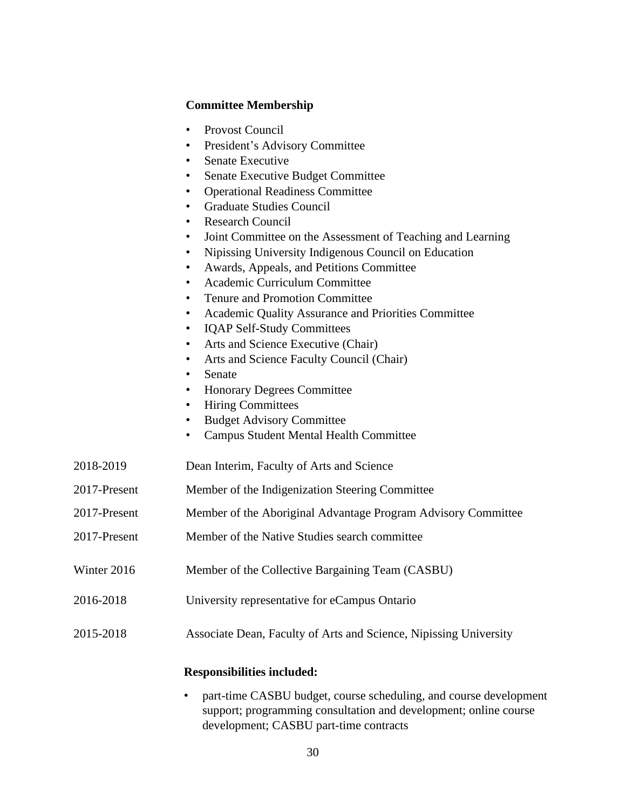### **Committee Membership**

|              | Provost Council<br>$\bullet$<br>President's Advisory Committee<br>٠<br>Senate Executive<br>$\bullet$<br>Senate Executive Budget Committee<br>٠<br><b>Operational Readiness Committee</b><br>$\bullet$<br><b>Graduate Studies Council</b><br>٠<br><b>Research Council</b><br>$\bullet$<br>Joint Committee on the Assessment of Teaching and Learning<br>٠<br>Nipissing University Indigenous Council on Education<br>$\bullet$<br>Awards, Appeals, and Petitions Committee<br>٠<br>Academic Curriculum Committee<br>$\bullet$<br><b>Tenure and Promotion Committee</b><br>٠<br>Academic Quality Assurance and Priorities Committee<br>٠<br><b>IQAP Self-Study Committees</b><br>$\bullet$<br>Arts and Science Executive (Chair)<br>٠<br>Arts and Science Faculty Council (Chair)<br>٠<br>Senate<br>$\bullet$<br><b>Honorary Degrees Committee</b><br>٠<br><b>Hiring Committees</b><br>٠<br><b>Budget Advisory Committee</b><br>$\bullet$<br><b>Campus Student Mental Health Committee</b><br>٠ |
|--------------|-----------------------------------------------------------------------------------------------------------------------------------------------------------------------------------------------------------------------------------------------------------------------------------------------------------------------------------------------------------------------------------------------------------------------------------------------------------------------------------------------------------------------------------------------------------------------------------------------------------------------------------------------------------------------------------------------------------------------------------------------------------------------------------------------------------------------------------------------------------------------------------------------------------------------------------------------------------------------------------------------|
| 2018-2019    | Dean Interim, Faculty of Arts and Science                                                                                                                                                                                                                                                                                                                                                                                                                                                                                                                                                                                                                                                                                                                                                                                                                                                                                                                                                     |
| 2017-Present | Member of the Indigenization Steering Committee                                                                                                                                                                                                                                                                                                                                                                                                                                                                                                                                                                                                                                                                                                                                                                                                                                                                                                                                               |
| 2017-Present | Member of the Aboriginal Advantage Program Advisory Committee                                                                                                                                                                                                                                                                                                                                                                                                                                                                                                                                                                                                                                                                                                                                                                                                                                                                                                                                 |
| 2017-Present | Member of the Native Studies search committee                                                                                                                                                                                                                                                                                                                                                                                                                                                                                                                                                                                                                                                                                                                                                                                                                                                                                                                                                 |
| Winter 2016  | Member of the Collective Bargaining Team (CASBU)                                                                                                                                                                                                                                                                                                                                                                                                                                                                                                                                                                                                                                                                                                                                                                                                                                                                                                                                              |
| 2016-2018    | University representative for eCampus Ontario                                                                                                                                                                                                                                                                                                                                                                                                                                                                                                                                                                                                                                                                                                                                                                                                                                                                                                                                                 |
| 2015-2018    | Associate Dean, Faculty of Arts and Science, Nipissing University                                                                                                                                                                                                                                                                                                                                                                                                                                                                                                                                                                                                                                                                                                                                                                                                                                                                                                                             |
|              | <b>Responsibilities included:</b>                                                                                                                                                                                                                                                                                                                                                                                                                                                                                                                                                                                                                                                                                                                                                                                                                                                                                                                                                             |

• part-time CASBU budget, course scheduling, and course development support; programming consultation and development; online course development; CASBU part-time contracts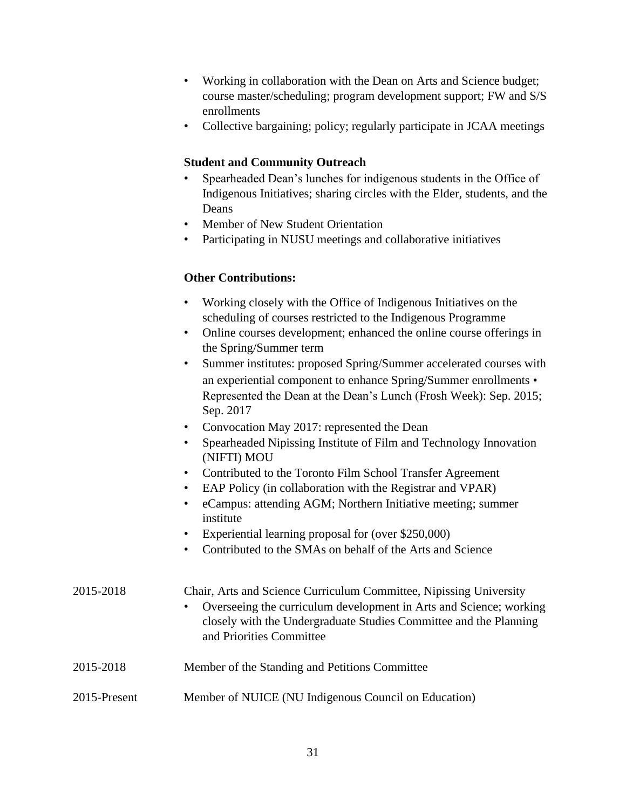- Working in collaboration with the Dean on Arts and Science budget; course master/scheduling; program development support; FW and S/S enrollments
- Collective bargaining; policy; regularly participate in JCAA meetings

### **Student and Community Outreach**

- Spearheaded Dean's lunches for indigenous students in the Office of Indigenous Initiatives; sharing circles with the Elder, students, and the Deans
- Member of New Student Orientation
- Participating in NUSU meetings and collaborative initiatives

# **Other Contributions:**

| Working closely with the Office of Indigenous Initiatives on the |
|------------------------------------------------------------------|
| scheduling of courses restricted to the Indigenous Programme     |

- Online courses development; enhanced the online course offerings in the Spring/Summer term
- Summer institutes: proposed Spring/Summer accelerated courses with an experiential component to enhance Spring/Summer enrollments • Represented the Dean at the Dean's Lunch (Frosh Week): Sep. 2015; Sep. 2017
- Convocation May 2017: represented the Dean
- Spearheaded Nipissing Institute of Film and Technology Innovation (NIFTI) MOU
- Contributed to the Toronto Film School Transfer Agreement
- EAP Policy (in collaboration with the Registrar and VPAR)
- eCampus: attending AGM; Northern Initiative meeting; summer institute
- Experiential learning proposal for (over \$250,000)
- Contributed to the SMAs on behalf of the Arts and Science

2015-2018 Chair, Arts and Science Curriculum Committee, Nipissing University • Overseeing the curriculum development in Arts and Science; working closely with the Undergraduate Studies Committee and the Planning and Priorities Committee 2015-2018 Member of the Standing and Petitions Committee 2015-Present Member of NUICE (NU Indigenous Council on Education)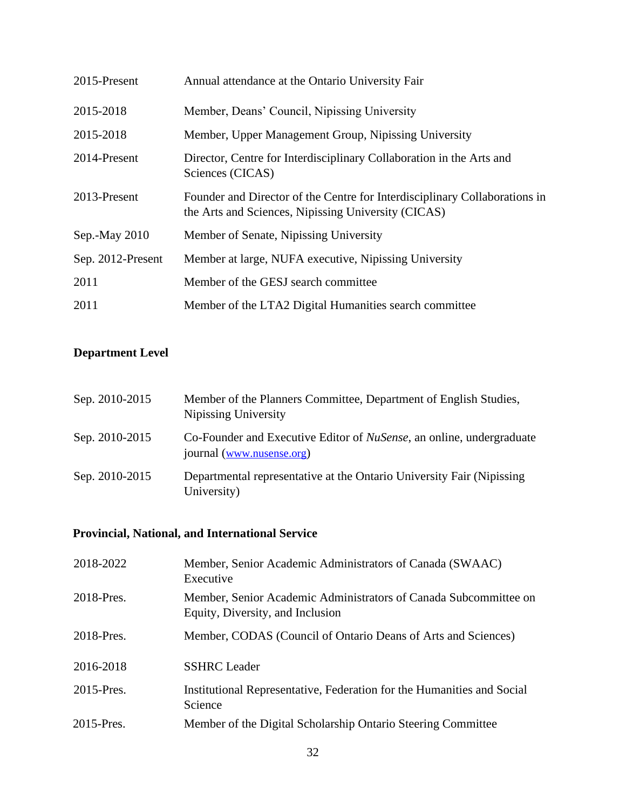| 2015-Present      | Annual attendance at the Ontario University Fair                                                                                  |
|-------------------|-----------------------------------------------------------------------------------------------------------------------------------|
| 2015-2018         | Member, Deans' Council, Nipissing University                                                                                      |
| 2015-2018         | Member, Upper Management Group, Nipissing University                                                                              |
| 2014-Present      | Director, Centre for Interdisciplinary Collaboration in the Arts and<br>Sciences (CICAS)                                          |
| 2013-Present      | Founder and Director of the Centre for Interdisciplinary Collaborations in<br>the Arts and Sciences, Nipissing University (CICAS) |
| Sep.-May 2010     | Member of Senate, Nipissing University                                                                                            |
| Sep. 2012-Present | Member at large, NUFA executive, Nipissing University                                                                             |
| 2011              | Member of the GESJ search committee                                                                                               |
| 2011              | Member of the LTA2 Digital Humanities search committee                                                                            |

# **Department Level**

| Sep. 2010-2015 | Member of the Planners Committee, Department of English Studies,<br>Nipissing University                  |
|----------------|-----------------------------------------------------------------------------------------------------------|
| Sep. 2010-2015 | Co-Founder and Executive Editor of <i>NuSense</i> , an online, undergraduate<br>journal (www.nusense.org) |
| Sep. 2010-2015 | Departmental representative at the Ontario University Fair (Nipissing)<br>University)                     |

# **Provincial, National, and International Service**

| 2018-2022  | Member, Senior Academic Administrators of Canada (SWAAC)<br>Executive                                |
|------------|------------------------------------------------------------------------------------------------------|
| 2018-Pres. | Member, Senior Academic Administrators of Canada Subcommittee on<br>Equity, Diversity, and Inclusion |
| 2018-Pres. | Member, CODAS (Council of Ontario Deans of Arts and Sciences)                                        |
| 2016-2018  | <b>SSHRC</b> Leader                                                                                  |
| 2015-Pres. | Institutional Representative, Federation for the Humanities and Social<br>Science                    |
| 2015-Pres. | Member of the Digital Scholarship Ontario Steering Committee                                         |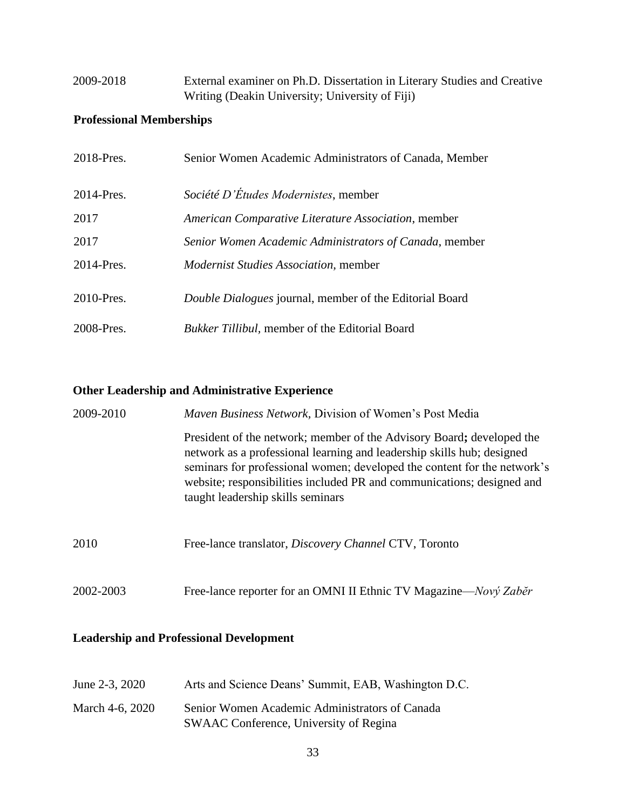# 2009-2018 External examiner on Ph.D. Dissertation in Literary Studies and Creative Writing (Deakin University; University of Fiji)

# **Professional Memberships**

| 2018-Pres. | Senior Women Academic Administrators of Canada, Member         |
|------------|----------------------------------------------------------------|
| 2014-Pres. | Société D'Études Modernistes, member                           |
| 2017       | American Comparative Literature Association, member            |
| 2017       | Senior Women Academic Administrators of Canada, member         |
| 2014-Pres. | <i>Modernist Studies Association, member</i>                   |
| 2010-Pres. | <i>Double Dialogues</i> journal, member of the Editorial Board |
| 2008-Pres. | <i>Bukker Tillibul</i> , member of the Editorial Board         |

# **Other Leadership and Administrative Experience**

| 2009-2010 | Maven Business Network, Division of Women's Post Media                                                                                                                                                                                                                                                                                     |  |
|-----------|--------------------------------------------------------------------------------------------------------------------------------------------------------------------------------------------------------------------------------------------------------------------------------------------------------------------------------------------|--|
|           | President of the network; member of the Advisory Board; developed the<br>network as a professional learning and leadership skills hub; designed<br>seminars for professional women; developed the content for the network's<br>website; responsibilities included PR and communications; designed and<br>taught leadership skills seminars |  |
| 2010      | Free-lance translator, <i>Discovery Channel</i> CTV, Toronto                                                                                                                                                                                                                                                                               |  |
| 2002-2003 | Free-lance reporter for an OMNI II Ethnic TV Magazine— <i>Nový Zaběr</i>                                                                                                                                                                                                                                                                   |  |

# **Leadership and Professional Development**

| June 2-3, 2020  | Arts and Science Deans' Summit, EAB, Washington D.C.                                     |
|-----------------|------------------------------------------------------------------------------------------|
| March 4-6, 2020 | Senior Women Academic Administrators of Canada<br>SWAAC Conference, University of Regina |